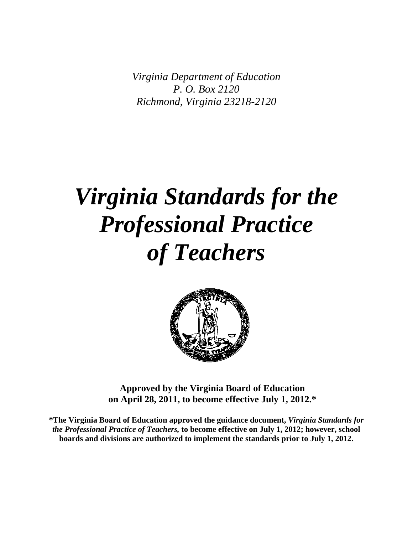*Virginia Department of Education P. O. Box 2120 Richmond, Virginia 23218-2120* 

# *Virginia Standards for the Professional Practice of Teachers*



 **Approved by the Virginia Board of Education on April 28, 2011, to become effective July 1, 2012.\*** 

**\*The Virginia Board of Education approved the guidance document,** *Virginia Standards for the Professional Practice of Teachers,* **to become effective on July 1, 2012; however, school boards and divisions are authorized to implement the standards prior to July 1, 2012.**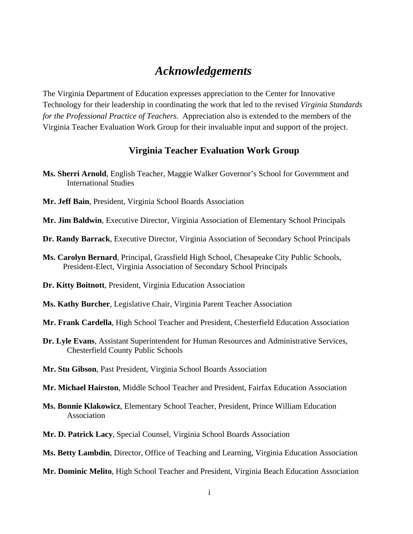# *Acknowledgements*

The Virginia Department of Education expresses appreciation to the Center for Innovative Technology for their leadership in coordinating the work that led to the revised *Virginia Standards for the Professional Practice of Teachers.* Appreciation also is extended to the members of the Virginia Teacher Evaluation Work Group for their invaluable input and support of the project.

#### **Virginia Teacher Evaluation Work Group**

- **Ms. Sherri Arnold**, English Teacher, Maggie Walker Governor's School for Government and International Studies
- **Mr. Jeff Bain**, President, Virginia School Boards Association
- **Mr. Jim Baldwin**, Executive Director, Virginia Association of Elementary School Principals
- **Dr. Randy Barrack**, Executive Director, Virginia Association of Secondary School Principals
- **Ms. Carolyn Bernard**, Principal, Grassfield High School, Chesapeake City Public Schools, President-Elect, Virginia Association of Secondary School Principals
- **Dr. Kitty Boitnott**, President, Virginia Education Association
- **Ms. Kathy Burcher**, Legislative Chair, Virginia Parent Teacher Association
- **Mr. Frank Cardella**, High School Teacher and President, Chesterfield Education Association
- **Dr. Lyle Evans**, Assistant Superintendent for Human Resources and Administrative Services, Chesterfield County Public Schools
- **Mr. Stu Gibson**, Past President, Virginia School Boards Association
- **Mr. Michael Hairston**, Middle School Teacher and President, Fairfax Education Association
- **Ms. Bonnie Klakowicz**, Elementary School Teacher, President, Prince William Education Association
- **Mr. D. Patrick Lacy**, Special Counsel, Virginia School Boards Association
- **Ms. Betty Lambdin**, Director, Office of Teaching and Learning, Virginia Education Association
- **Mr. Dominic Melito**, High School Teacher and President, Virginia Beach Education Association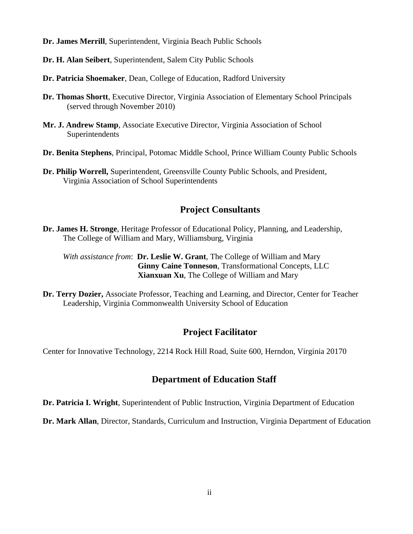- **Dr. James Merrill**, Superintendent, Virginia Beach Public Schools
- **Dr. H. Alan Seibert**, Superintendent, Salem City Public Schools
- **Dr. Patricia Shoemaker**, Dean, College of Education, Radford University
- **Dr. Thomas Shortt**, Executive Director, Virginia Association of Elementary School Principals (served through November 2010)
- **Mr. J. Andrew Stamp**, Associate Executive Director, Virginia Association of School **Superintendents**
- **Dr. Benita Stephens**, Principal, Potomac Middle School, Prince William County Public Schools
- **Dr. Philip Worrell,** Superintendent, Greensville County Public Schools, and President, Virginia Association of School Superintendents

#### **Project Consultants**

**Dr. James H. Stronge**, Heritage Professor of Educational Policy, Planning, and Leadership, The College of William and Mary, Williamsburg, Virginia

 *With assistance from*: **Dr. Leslie W. Grant**, The College of William and Mary  **Ginny Caine Tonneson**, Transformational Concepts, LLC  **Xianxuan Xu**, The College of William and Mary

**Dr. Terry Dozier,** Associate Professor, Teaching and Learning, and Director, Center for Teacher Leadership, Virginia Commonwealth University School of Education

#### **Project Facilitator**

Center for Innovative Technology, 2214 Rock Hill Road, Suite 600, Herndon, Virginia 20170

#### **Department of Education Staff**

**Dr. Patricia I. Wright**, Superintendent of Public Instruction, Virginia Department of Education

**Dr. Mark Allan**, Director, Standards, Curriculum and Instruction, Virginia Department of Education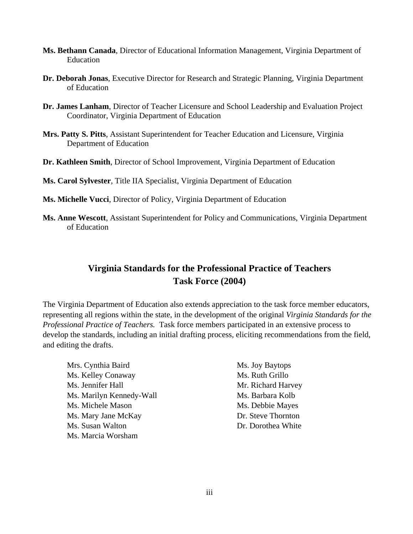- **Ms. Bethann Canada**, Director of Educational Information Management, Virginia Department of Education
- **Dr. Deborah Jonas**, Executive Director for Research and Strategic Planning, Virginia Department of Education
- **Dr. James Lanham**, Director of Teacher Licensure and School Leadership and Evaluation Project Coordinator, Virginia Department of Education
- **Mrs. Patty S. Pitts**, Assistant Superintendent for Teacher Education and Licensure, Virginia Department of Education
- **Dr. Kathleen Smith**, Director of School Improvement, Virginia Department of Education
- **Ms. Carol Sylvester**, Title IIA Specialist, Virginia Department of Education
- **Ms. Michelle Vucci**, Director of Policy, Virginia Department of Education
- **Ms. Anne Wescott**, Assistant Superintendent for Policy and Communications, Virginia Department of Education

# **Virginia Standards for the Professional Practice of Teachers Task Force (2004)**

The Virginia Department of Education also extends appreciation to the task force member educators, representing all regions within the state, in the development of the original *Virginia Standards for the Professional Practice of Teachers.* Task force members participated in an extensive process to develop the standards, including an initial drafting process, eliciting recommendations from the field, and editing the drafts.

- Mrs. Cynthia Baird Ms. Joy Baytops Ms. Kelley Conaway Ms. Ruth Grillo Ms. Jennifer Hall Mr. Richard Harvey Ms. Marilyn Kennedy-Wall Ms. Barbara Kolb Ms. Michele Mason Ms. Debbie Mayes Ms. Mary Jane McKay Dr. Steve Thornton Ms. Susan Walton Dr. Dorothea White Ms. Marcia Worsham
	-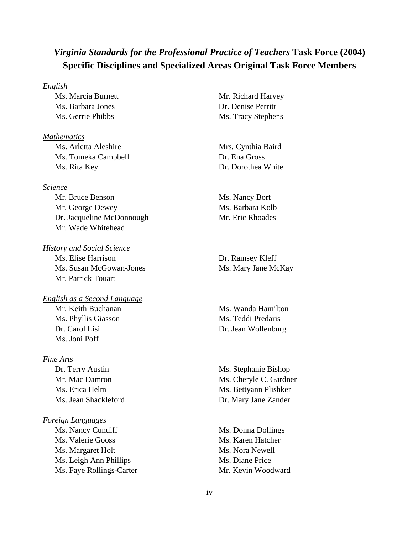# *Virginia Standards for the Professional Practice of Teachers* **Task Force (2004) Specific Disciplines and Specialized Areas Original Task Force Members**

#### *English*

Ms. Barbara Jones Dr. Denise Perritt

*Mathematics* Ms. Arletta Aleshire Mrs. Cynthia Baird Ms. Tomeka Campbell Dr. Ena Gross Ms. Rita Key Dr. Dorothea White

*Science*

Mr. Bruce Benson Ms. Nancy Bort Mr. George Dewey Ms. Barbara Kolb Dr. Jacqueline McDonnough Mr. Eric Rhoades Mr. Wade Whitehead

#### *History and Social Science*

Ms. Elise Harrison Dr. Ramsey Kleff Ms. Susan McGowan-Jones Ms. Mary Jane McKay Mr. Patrick Touart

#### *English as a Second Language*

Mr. Keith Buchanan Ms. Wanda Hamilton Ms. Phyllis Giasson Ms. Teddi Predaris Ms. Joni Poff

#### *Fine Arts*

#### *Foreign Languages*

Ms. Nancy Cundiff Ms. Donna Dollings Ms. Valerie Gooss Ms. Karen Hatcher Ms. Margaret Holt Ms. Nora Newell Ms. Leigh Ann Phillips Ms. Diane Price Ms. Faye Rollings-Carter Mr. Kevin Woodward

Ms. Marcia Burnett Mr. Richard Harvey Ms. Gerrie Phibbs Ms. Tracy Stephens

Dr. Carol Lisi Dr. Jean Wollenburg

Dr. Terry Austin Ms. Stephanie Bishop Mr. Mac Damron Ms. Cheryle C. Gardner Ms. Erica Helm Ms. Bettyann Plishker Ms. Jean Shackleford Dr. Mary Jane Zander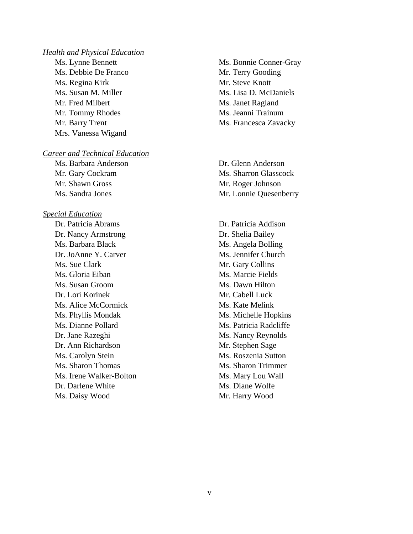#### *Health and Physical Education*

Ms. Debbie De Franco Mr. Terry Gooding Ms. Regina Kirk Mr. Steve Knott Mr. Fred Milbert Ms. Janet Ragland Mr. Tommy Rhodes Ms. Jeanni Trainum Mrs. Vanessa Wigand

#### *Career and Technical Education*

Mr. Shawn Gross Mr. Roger Johnson

#### *Special Education*

Dr. Patricia Abrams Dr. Patricia Addison Dr. Nancy Armstrong Dr. Shelia Bailey Ms. Barbara Black Ms. Angela Bolling Dr. JoAnne Y. Carver Ms. Jennifer Church Ms. Sue Clark Mr. Gary Collins Ms. Gloria Eiban Ms. Marcie Fields Ms. Susan Groom Ms. Dawn Hilton Dr. Lori Korinek Mr. Cabell Luck Ms. Alice McCormick Ms. Kate Melink Ms. Phyllis Mondak Ms. Michelle Hopkins Ms. Dianne Pollard Ms. Patricia Radcliffe Dr. Jane Razeghi Ms. Nancy Reynolds Dr. Ann Richardson Mr. Stephen Sage Ms. Carolyn Stein Ms. Roszenia Sutton Ms. Sharon Thomas Ms. Sharon Trimmer Ms. Irene Walker-Bolton Ms. Mary Lou Wall Dr. Darlene White Ms. Diane Wolfe Ms. Daisy Wood Mr. Harry Wood

- Ms. Lynne Bennett Ms. Bonnie Conner-Gray Ms. Susan M. Miller Ms. Lisa D. McDaniels Mr. Barry Trent Ms. Francesca Zavacky
- Ms. Barbara Anderson Dr. Glenn Anderson Mr. Gary Cockram Ms. Sharron Glasscock Ms. Sandra Jones Mr. Lonnie Quesenberry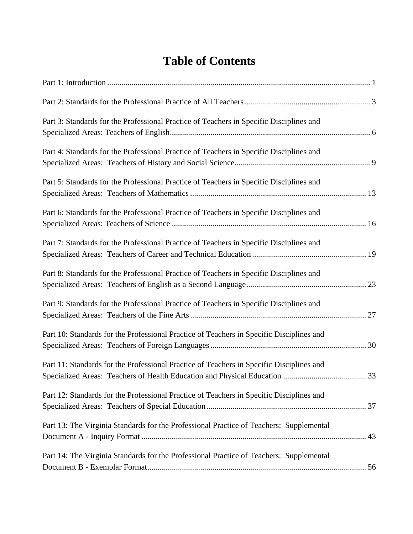# **Table of Contents**

| Part 3: Standards for the Professional Practice of Teachers in Specific Disciplines and  |  |
|------------------------------------------------------------------------------------------|--|
| Part 4: Standards for the Professional Practice of Teachers in Specific Disciplines and  |  |
| Part 5: Standards for the Professional Practice of Teachers in Specific Disciplines and  |  |
| Part 6: Standards for the Professional Practice of Teachers in Specific Disciplines and  |  |
| Part 7: Standards for the Professional Practice of Teachers in Specific Disciplines and  |  |
| Part 8: Standards for the Professional Practice of Teachers in Specific Disciplines and  |  |
| Part 9: Standards for the Professional Practice of Teachers in Specific Disciplines and  |  |
| Part 10: Standards for the Professional Practice of Teachers in Specific Disciplines and |  |
| Part 11: Standards for the Professional Practice of Teachers in Specific Disciplines and |  |
| Part 12: Standards for the Professional Practice of Teachers in Specific Disciplines and |  |
| Part 13: The Virginia Standards for the Professional Practice of Teachers: Supplemental  |  |
| Part 14: The Virginia Standards for the Professional Practice of Teachers: Supplemental  |  |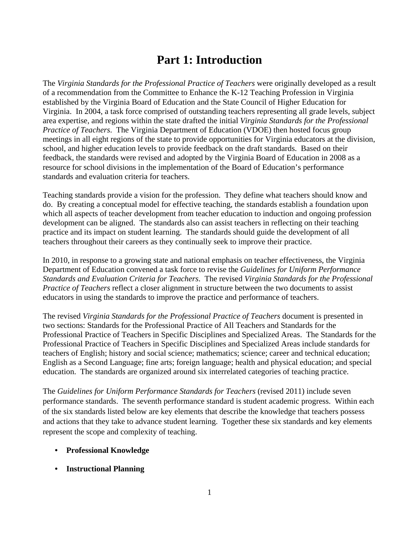# **Part 1: Introduction**

The *Virginia Standards for the Professional Practice of Teachers* were originally developed as a result of a recommendation from the Committee to Enhance the K-12 Teaching Profession in Virginia established by the Virginia Board of Education and the State Council of Higher Education for Virginia. In 2004, a task force comprised of outstanding teachers representing all grade levels, subject area expertise, and regions within the state drafted the initial *Virginia Standards for the Professional Practice of Teachers*. The Virginia Department of Education (VDOE) then hosted focus group meetings in all eight regions of the state to provide opportunities for Virginia educators at the division, school, and higher education levels to provide feedback on the draft standards. Based on their feedback, the standards were revised and adopted by the Virginia Board of Education in 2008 as a resource for school divisions in the implementation of the Board of Education's performance standards and evaluation criteria for teachers.

Teaching standards provide a vision for the profession. They define what teachers should know and do. By creating a conceptual model for effective teaching, the standards establish a foundation upon which all aspects of teacher development from teacher education to induction and ongoing profession development can be aligned. The standards also can assist teachers in reflecting on their teaching practice and its impact on student learning. The standards should guide the development of all teachers throughout their careers as they continually seek to improve their practice.

In 2010, in response to a growing state and national emphasis on teacher effectiveness, the Virginia Department of Education convened a task force to revise the *Guidelines for Uniform Performance Standards and Evaluation Criteria for Teachers*. The revised *Virginia Standards for the Professional Practice of Teachers* reflect a closer alignment in structure between the two documents to assist educators in using the standards to improve the practice and performance of teachers.

The revised *Virginia Standards for the Professional Practice of Teachers* document is presented in two sections: Standards for the Professional Practice of All Teachers and Standards for the Professional Practice of Teachers in Specific Disciplines and Specialized Areas. The Standards for the Professional Practice of Teachers in Specific Disciplines and Specialized Areas include standards for teachers of English; history and social science; mathematics; science; career and technical education; English as a Second Language; fine arts; foreign language; health and physical education; and special education. The standards are organized around six interrelated categories of teaching practice.

The *Guidelines for Uniform Performance Standards for Teachers* (revised 2011) include seven performance standards. The seventh performance standard is student academic progress. Within each of the six standards listed below are key elements that describe the knowledge that teachers possess and actions that they take to advance student learning. Together these six standards and key elements represent the scope and complexity of teaching.

- **Professional Knowledge**
- **Instructional Planning**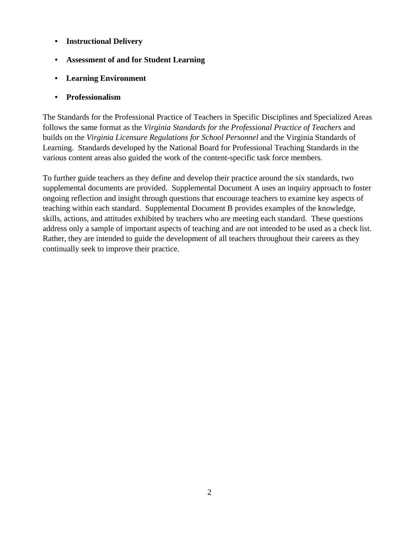- **Instructional Delivery**
- **Assessment of and for Student Learning**
- **Learning Environment**
- **Professionalism**

The Standards for the Professional Practice of Teachers in Specific Disciplines and Specialized Areas follows the same format as the *Virginia Standards for the Professional Practice of Teachers* and builds on the *Virginia Licensure Regulations for School Personnel* and the Virginia Standards of Learning. Standards developed by the National Board for Professional Teaching Standards in the various content areas also guided the work of the content-specific task force members.

To further guide teachers as they define and develop their practice around the six standards, two supplemental documents are provided. Supplemental Document A uses an inquiry approach to foster ongoing reflection and insight through questions that encourage teachers to examine key aspects of teaching within each standard. Supplemental Document B provides examples of the knowledge, skills, actions, and attitudes exhibited by teachers who are meeting each standard. These questions address only a sample of important aspects of teaching and are not intended to be used as a check list. Rather, they are intended to guide the development of all teachers throughout their careers as they continually seek to improve their practice.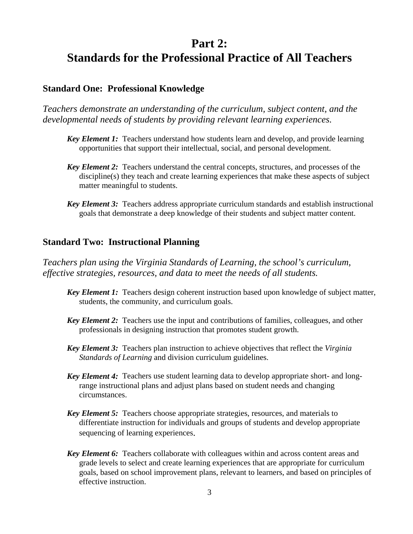# **Part 2: Standards for the Professional Practice of All Teachers**

#### **Standard One: Professional Knowledge**

*Teachers demonstrate an understanding of the curriculum, subject content, and the developmental needs of students by providing relevant learning experiences.* 

- *Key Element 1:* Teachers understand how students learn and develop, and provide learning opportunities that support their intellectual, social, and personal development.
- *Key Element 2:* Teachers understand the central concepts, structures, and processes of the discipline(s) they teach and create learning experiences that make these aspects of subject matter meaningful to students.
- *Key Element 3:* Teachers address appropriate curriculum standards and establish instructional goals that demonstrate a deep knowledge of their students and subject matter content.

#### **Standard Two: Instructional Planning**

*Teachers plan using the Virginia Standards of Learning, the school's curriculum, effective strategies, resources, and data to meet the needs of all students.* 

- *Key Element 1:* Teachers design coherent instruction based upon knowledge of subject matter, students, the community, and curriculum goals.
- *Key Element 2:* Teachers use the input and contributions of families, colleagues, and other professionals in designing instruction that promotes student growth.
- *Key Element 3:* Teachers plan instruction to achieve objectives that reflect the *Virginia Standards of Learning* and division curriculum guidelines.
- *Key Element 4:* Teachers use student learning data to develop appropriate short- and longrange instructional plans and adjust plans based on student needs and changing circumstances.
- *Key Element 5:* Teachers choose appropriate strategies, resources, and materials to differentiate instruction for individuals and groups of students and develop appropriate sequencing of learning experiences.
- *Key Element 6:* Teachers collaborate with colleagues within and across content areas and grade levels to select and create learning experiences that are appropriate for curriculum goals, based on school improvement plans, relevant to learners, and based on principles of effective instruction.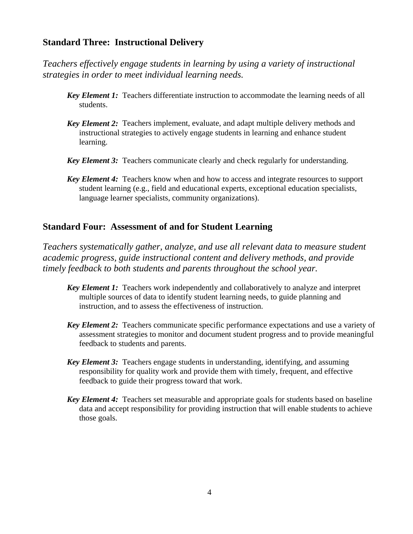# **Standard Three: Instructional Delivery**

*Teachers effectively engage students in learning by using a variety of instructional strategies in order to meet individual learning needs.* 

- *Key Element 1:* Teachers differentiate instruction to accommodate the learning needs of all students.
- *Key Element 2:* Teachers implement, evaluate, and adapt multiple delivery methods and instructional strategies to actively engage students in learning and enhance student learning.
- *Key Element 3:* Teachers communicate clearly and check regularly for understanding.
- *Key Element 4:* Teachers know when and how to access and integrate resources to support student learning (e.g., field and educational experts, exceptional education specialists, language learner specialists, community organizations).

#### **Standard Four: Assessment of and for Student Learning**

*Teachers systematically gather, analyze, and use all relevant data to measure student academic progress, guide instructional content and delivery methods, and provide timely feedback to both students and parents throughout the school year.* 

- *Key Element 1:* Teachers work independently and collaboratively to analyze and interpret multiple sources of data to identify student learning needs, to guide planning and instruction, and to assess the effectiveness of instruction.
- *Key Element 2:* Teachers communicate specific performance expectations and use a variety of assessment strategies to monitor and document student progress and to provide meaningful feedback to students and parents.
- *Key Element 3:* Teachers engage students in understanding, identifying, and assuming responsibility for quality work and provide them with timely, frequent, and effective feedback to guide their progress toward that work.
- *Key Element 4:* Teachers set measurable and appropriate goals for students based on baseline data and accept responsibility for providing instruction that will enable students to achieve those goals.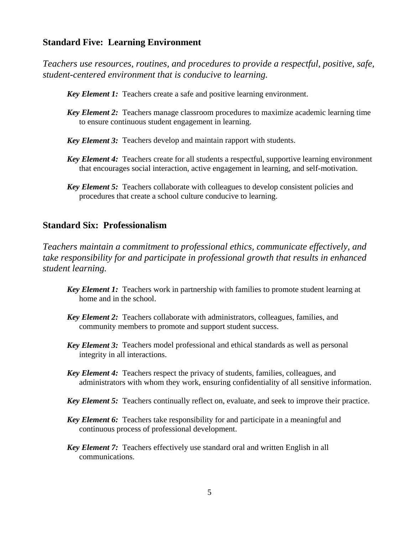## **Standard Five: Learning Environment**

*Teachers use resources, routines, and procedures to provide a respectful, positive, safe, student-centered environment that is conducive to learning.*

*Key Element 1:* Teachers create a safe and positive learning environment.

- *Key Element 2:* Teachers manage classroom procedures to maximize academic learning time to ensure continuous student engagement in learning.
- *Key Element 3:* Teachers develop and maintain rapport with students.
- *Key Element 4:* Teachers create for all students a respectful, supportive learning environment that encourages social interaction, active engagement in learning, and self-motivation.
- *Key Element 5:* Teachers collaborate with colleagues to develop consistent policies and procedures that create a school culture conducive to learning.

#### **Standard Six: Professionalism**

*Teachers maintain a commitment to professional ethics, communicate effectively, and take responsibility for and participate in professional growth that results in enhanced student learning.* 

- *Key Element 1:* Teachers work in partnership with families to promote student learning at home and in the school.
- *Key Element 2:* Teachers collaborate with administrators, colleagues, families, and community members to promote and support student success.
- *Key Element 3:* Teachers model professional and ethical standards as well as personal integrity in all interactions.
- *Key Element 4:* Teachers respect the privacy of students, families, colleagues, and administrators with whom they work, ensuring confidentiality of all sensitive information.
- *Key Element 5:* Teachers continually reflect on, evaluate, and seek to improve their practice.
- *Key Element 6:* Teachers take responsibility for and participate in a meaningful and continuous process of professional development.
- *Key Element 7:* Teachers effectively use standard oral and written English in all communications.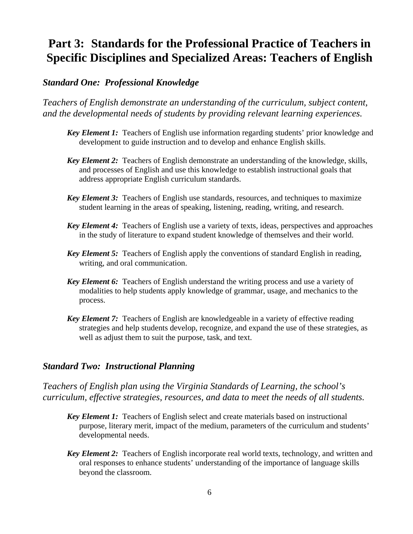# **Part 3: Standards for the Professional Practice of Teachers in Specific Disciplines and Specialized Areas: Teachers of English**

## *Standard One: Professional Knowledge*

*Teachers of English demonstrate an understanding of the curriculum, subject content, and the developmental needs of students by providing relevant learning experiences.* 

- *Key Element 1:* Teachers of English use information regarding students' prior knowledge and development to guide instruction and to develop and enhance English skills.
- *Key Element 2:* Teachers of English demonstrate an understanding of the knowledge, skills, and processes of English and use this knowledge to establish instructional goals that address appropriate English curriculum standards.
- *Key Element 3:* Teachers of English use standards, resources, and techniques to maximize student learning in the areas of speaking, listening, reading, writing, and research.
- *Key Element 4:* Teachers of English use a variety of texts, ideas, perspectives and approaches in the study of literature to expand student knowledge of themselves and their world.
- *Key Element 5:* Teachers of English apply the conventions of standard English in reading, writing, and oral communication.
- *Key Element 6:* Teachers of English understand the writing process and use a variety of modalities to help students apply knowledge of grammar, usage, and mechanics to the process.
- *Key Element 7:* Teachers of English are knowledgeable in a variety of effective reading strategies and help students develop, recognize, and expand the use of these strategies, as well as adjust them to suit the purpose, task, and text.

## *Standard Two: Instructional Planning*

*Teachers of English plan using the Virginia Standards of Learning, the school's curriculum, effective strategies, resources, and data to meet the needs of all students.* 

- *Key Element 1:* Teachers of English select and create materials based on instructional purpose, literary merit, impact of the medium, parameters of the curriculum and students' developmental needs.
- *Key Element 2:* Teachers of English incorporate real world texts, technology, and written and oral responses to enhance students' understanding of the importance of language skills beyond the classroom.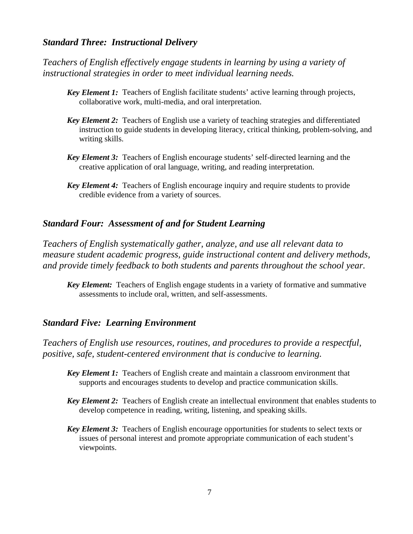# *Standard Three: Instructional Delivery*

*Teachers of English effectively engage students in learning by using a variety of instructional strategies in order to meet individual learning needs.* 

- *Key Element 1:* Teachers of English facilitate students' active learning through projects, collaborative work, multi-media, and oral interpretation.
- *Key Element 2:* Teachers of English use a variety of teaching strategies and differentiated instruction to guide students in developing literacy, critical thinking, problem-solving, and writing skills.
- *Key Element 3:* Teachers of English encourage students' self-directed learning and the creative application of oral language, writing, and reading interpretation.
- *Key Element 4:* Teachers of English encourage inquiry and require students to provide credible evidence from a variety of sources.

## *Standard Four: Assessment of and for Student Learning*

*Teachers of English systematically gather, analyze, and use all relevant data to measure student academic progress, guide instructional content and delivery methods, and provide timely feedback to both students and parents throughout the school year.* 

*Key Element:* Teachers of English engage students in a variety of formative and summative assessments to include oral, written, and self-assessments.

#### *Standard Five: Learning Environment*

*Teachers of English use resources, routines, and procedures to provide a respectful, positive, safe, student-centered environment that is conducive to learning.* 

- *Key Element 1:* Teachers of English create and maintain a classroom environment that supports and encourages students to develop and practice communication skills.
- *Key Element 2:* Teachers of English create an intellectual environment that enables students to develop competence in reading, writing, listening, and speaking skills.
- *Key Element 3:* Teachers of English encourage opportunities for students to select texts or issues of personal interest and promote appropriate communication of each student's viewpoints.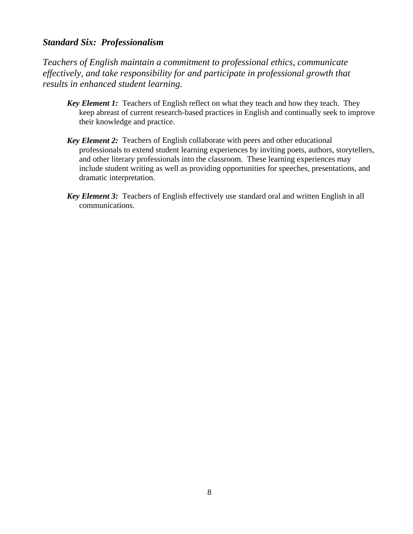# *Standard Six: Professionalism*

*Teachers of English maintain a commitment to professional ethics, communicate effectively, and take responsibility for and participate in professional growth that results in enhanced student learning.* 

- *Key Element 1:* Teachers of English reflect on what they teach and how they teach. They keep abreast of current research-based practices in English and continually seek to improve their knowledge and practice.
- *Key Element 2:* Teachers of English collaborate with peers and other educational professionals to extend student learning experiences by inviting poets, authors, storytellers, and other literary professionals into the classroom. These learning experiences may include student writing as well as providing opportunities for speeches, presentations, and dramatic interpretation.
- *Key Element 3:* Teachers of English effectively use standard oral and written English in all communications.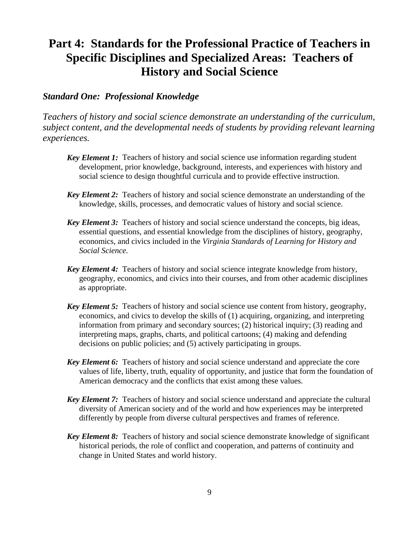# **Part 4: Standards for the Professional Practice of Teachers in Specific Disciplines and Specialized Areas: Teachers of History and Social Science**

#### *Standard One: Professional Knowledge*

*Teachers of history and social science demonstrate an understanding of the curriculum, subject content, and the developmental needs of students by providing relevant learning experiences.* 

- *Key Element 1:* Teachers of history and social science use information regarding student development, prior knowledge, background, interests, and experiences with history and social science to design thoughtful curricula and to provide effective instruction.
- *Key Element 2:* Teachers of history and social science demonstrate an understanding of the knowledge, skills, processes, and democratic values of history and social science.
- *Key Element 3:* Teachers of history and social science understand the concepts, big ideas, essential questions, and essential knowledge from the disciplines of history, geography, economics, and civics included in the *Virginia Standards of Learning for History and Social Science.*
- *Key Element 4:* Teachers of history and social science integrate knowledge from history, geography, economics, and civics into their courses, and from other academic disciplines as appropriate.
- *Key Element 5:* Teachers of history and social science use content from history, geography, economics, and civics to develop the skills of (1) acquiring, organizing, and interpreting information from primary and secondary sources; (2) historical inquiry; (3) reading and interpreting maps, graphs, charts, and political cartoons; (4) making and defending decisions on public policies; and (5) actively participating in groups.
- *Key Element 6:* Teachers of history and social science understand and appreciate the core values of life, liberty, truth, equality of opportunity, and justice that form the foundation of American democracy and the conflicts that exist among these values.
- *Key Element 7:* Teachers of history and social science understand and appreciate the cultural diversity of American society and of the world and how experiences may be interpreted differently by people from diverse cultural perspectives and frames of reference.
- *Key Element 8:* Teachers of history and social science demonstrate knowledge of significant historical periods, the role of conflict and cooperation, and patterns of continuity and change in United States and world history.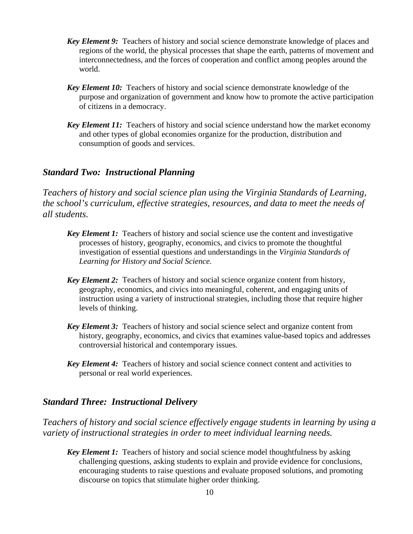- *Key Element 9:* Teachers of history and social science demonstrate knowledge of places and regions of the world, the physical processes that shape the earth, patterns of movement and interconnectedness, and the forces of cooperation and conflict among peoples around the world.
- *Key Element 10:* Teachers of history and social science demonstrate knowledge of the purpose and organization of government and know how to promote the active participation of citizens in a democracy.
- *Key Element 11:* Teachers of history and social science understand how the market economy and other types of global economies organize for the production, distribution and consumption of goods and services.

## *Standard Two: Instructional Planning*

*Teachers of history and social science plan using the Virginia Standards of Learning, the school's curriculum, effective strategies, resources, and data to meet the needs of all students.* 

- *Key Element 1:* Teachers of history and social science use the content and investigative processes of history, geography, economics, and civics to promote the thoughtful investigation of essential questions and understandings in the *Virginia Standards of Learning for History and Social Science.*
- *Key Element 2:* Teachers of history and social science organize content from history, geography, economics, and civics into meaningful, coherent, and engaging units of instruction using a variety of instructional strategies, including those that require higher levels of thinking.
- *Key Element 3:* Teachers of history and social science select and organize content from history, geography, economics, and civics that examines value-based topics and addresses controversial historical and contemporary issues.
- *Key Element 4:* Teachers of history and social science connect content and activities to personal or real world experiences.

## *Standard Three: Instructional Delivery*

*Teachers of history and social science effectively engage students in learning by using a variety of instructional strategies in order to meet individual learning needs.* 

*Key Element 1:* Teachers of history and social science model thoughtfulness by asking challenging questions, asking students to explain and provide evidence for conclusions, encouraging students to raise questions and evaluate proposed solutions, and promoting discourse on topics that stimulate higher order thinking.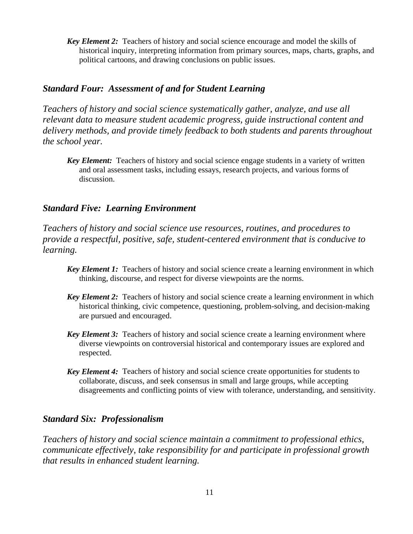*Key Element 2:* Teachers of history and social science encourage and model the skills of historical inquiry, interpreting information from primary sources, maps, charts, graphs, and political cartoons, and drawing conclusions on public issues.

#### *Standard Four: Assessment of and for Student Learning*

*Teachers of history and social science systematically gather, analyze, and use all relevant data to measure student academic progress, guide instructional content and delivery methods, and provide timely feedback to both students and parents throughout the school year.* 

*Key Element:* Teachers of history and social science engage students in a variety of written and oral assessment tasks, including essays, research projects, and various forms of discussion.

#### *Standard Five: Learning Environment*

*Teachers of history and social science use resources, routines, and procedures to provide a respectful, positive, safe, student-centered environment that is conducive to learning.* 

- *Key Element 1:* Teachers of history and social science create a learning environment in which thinking, discourse, and respect for diverse viewpoints are the norms.
- *Key Element 2:* Teachers of history and social science create a learning environment in which historical thinking, civic competence, questioning, problem-solving, and decision-making are pursued and encouraged.
- *Key Element 3:* Teachers of history and social science create a learning environment where diverse viewpoints on controversial historical and contemporary issues are explored and respected.
- *Key Element 4:* Teachers of history and social science create opportunities for students to collaborate, discuss, and seek consensus in small and large groups, while accepting disagreements and conflicting points of view with tolerance, understanding, and sensitivity.

#### *Standard Six: Professionalism*

*Teachers of history and social science maintain a commitment to professional ethics, communicate effectively, take responsibility for and participate in professional growth that results in enhanced student learning.*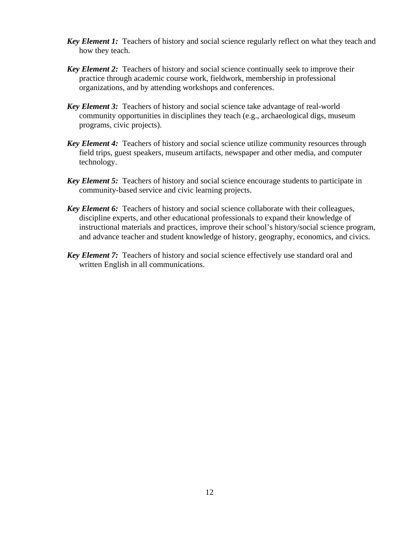- *Key Element 1:* Teachers of history and social science regularly reflect on what they teach and how they teach.
- *Key Element 2:* Teachers of history and social science continually seek to improve their practice through academic course work, fieldwork, membership in professional organizations, and by attending workshops and conferences.
- *Key Element 3:* Teachers of history and social science take advantage of real-world community opportunities in disciplines they teach (e.g., archaeological digs, museum programs, civic projects).
- *Key Element 4:* Teachers of history and social science utilize community resources through field trips, guest speakers, museum artifacts, newspaper and other media, and computer technology.
- *Key Element 5:* Teachers of history and social science encourage students to participate in community-based service and civic learning projects.
- *Key Element 6:* Teachers of history and social science collaborate with their colleagues, discipline experts, and other educational professionals to expand their knowledge of instructional materials and practices, improve their school's history/social science program, and advance teacher and student knowledge of history, geography, economics, and civics.
- *Key Element 7:* Teachers of history and social science effectively use standard oral and written English in all communications.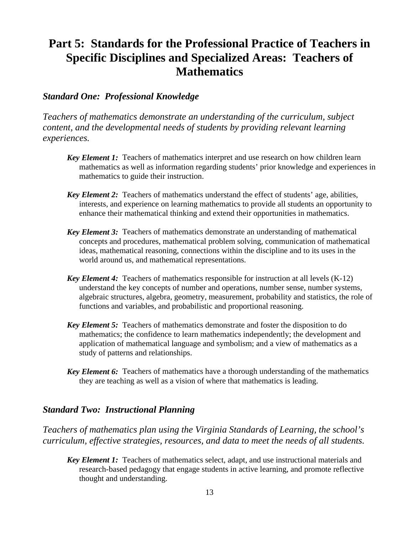# **Part 5: Standards for the Professional Practice of Teachers in Specific Disciplines and Specialized Areas: Teachers of Mathematics**

#### *Standard One: Professional Knowledge*

*Teachers of mathematics demonstrate an understanding of the curriculum, subject content, and the developmental needs of students by providing relevant learning experiences.* 

- *Key Element 1:* Teachers of mathematics interpret and use research on how children learn mathematics as well as information regarding students' prior knowledge and experiences in mathematics to guide their instruction.
- *Key Element 2:* Teachers of mathematics understand the effect of students' age, abilities, interests, and experience on learning mathematics to provide all students an opportunity to enhance their mathematical thinking and extend their opportunities in mathematics.
- *Key Element 3:* Teachers of mathematics demonstrate an understanding of mathematical concepts and procedures, mathematical problem solving, communication of mathematical ideas, mathematical reasoning, connections within the discipline and to its uses in the world around us, and mathematical representations.
- *Key Element 4:* Teachers of mathematics responsible for instruction at all levels (K-12) understand the key concepts of number and operations, number sense, number systems, algebraic structures, algebra, geometry, measurement, probability and statistics, the role of functions and variables, and probabilistic and proportional reasoning.
- *Key Element 5:* Teachers of mathematics demonstrate and foster the disposition to do mathematics; the confidence to learn mathematics independently; the development and application of mathematical language and symbolism; and a view of mathematics as a study of patterns and relationships.
- *Key Element 6:* Teachers of mathematics have a thorough understanding of the mathematics they are teaching as well as a vision of where that mathematics is leading.

# *Standard Two: Instructional Planning*

*Teachers of mathematics plan using the Virginia Standards of Learning, the school's curriculum, effective strategies, resources, and data to meet the needs of all students.* 

*Key Element 1:* Teachers of mathematics select, adapt, and use instructional materials and research-based pedagogy that engage students in active learning, and promote reflective thought and understanding.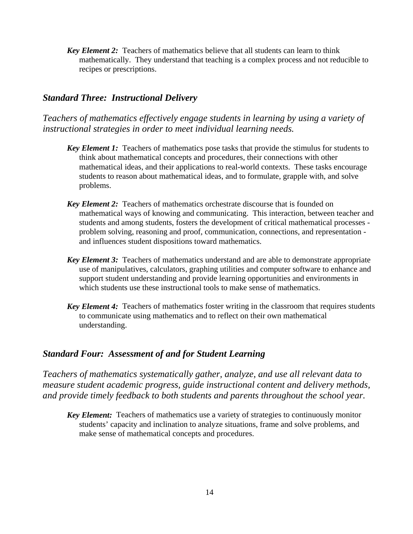*Key Element 2:* Teachers of mathematics believe that all students can learn to think mathematically. They understand that teaching is a complex process and not reducible to recipes or prescriptions.

## *Standard Three: Instructional Delivery*

*Teachers of mathematics effectively engage students in learning by using a variety of instructional strategies in order to meet individual learning needs.* 

- *Key Element 1:* Teachers of mathematics pose tasks that provide the stimulus for students to think about mathematical concepts and procedures, their connections with other mathematical ideas, and their applications to real-world contexts. These tasks encourage students to reason about mathematical ideas, and to formulate, grapple with, and solve problems.
- *Key Element 2:* Teachers of mathematics orchestrate discourse that is founded on mathematical ways of knowing and communicating. This interaction, between teacher and students and among students, fosters the development of critical mathematical processes problem solving, reasoning and proof, communication, connections, and representation and influences student dispositions toward mathematics.
- *Key Element 3:* Teachers of mathematics understand and are able to demonstrate appropriate use of manipulatives, calculators, graphing utilities and computer software to enhance and support student understanding and provide learning opportunities and environments in which students use these instructional tools to make sense of mathematics.
- *Key Element 4:* Teachers of mathematics foster writing in the classroom that requires students to communicate using mathematics and to reflect on their own mathematical understanding.

# *Standard Four: Assessment of and for Student Learning*

*Teachers of mathematics systematically gather, analyze, and use all relevant data to measure student academic progress, guide instructional content and delivery methods, and provide timely feedback to both students and parents throughout the school year.* 

*Key Element:* Teachers of mathematics use a variety of strategies to continuously monitor students' capacity and inclination to analyze situations, frame and solve problems, and make sense of mathematical concepts and procedures.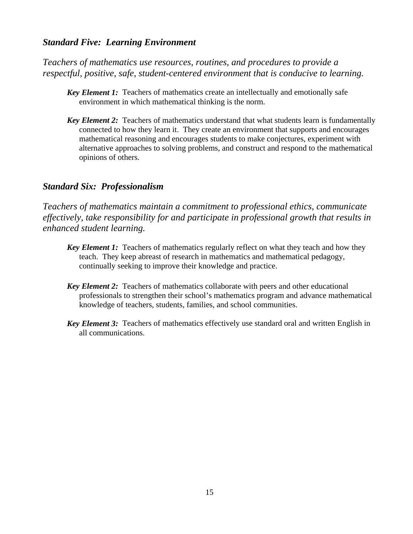# *Standard Five: Learning Environment*

*Teachers of mathematics use resources, routines, and procedures to provide a respectful, positive, safe, student-centered environment that is conducive to learning.* 

- *Key Element 1:* Teachers of mathematics create an intellectually and emotionally safe environment in which mathematical thinking is the norm.
- *Key Element 2:* Teachers of mathematics understand that what students learn is fundamentally connected to how they learn it. They create an environment that supports and encourages mathematical reasoning and encourages students to make conjectures, experiment with alternative approaches to solving problems, and construct and respond to the mathematical opinions of others.

#### *Standard Six: Professionalism*

*Teachers of mathematics maintain a commitment to professional ethics, communicate effectively, take responsibility for and participate in professional growth that results in enhanced student learning.* 

- *Key Element 1:* Teachers of mathematics regularly reflect on what they teach and how they teach. They keep abreast of research in mathematics and mathematical pedagogy, continually seeking to improve their knowledge and practice.
- *Key Element 2:* Teachers of mathematics collaborate with peers and other educational professionals to strengthen their school's mathematics program and advance mathematical knowledge of teachers, students, families, and school communities.
- *Key Element 3:* Teachers of mathematics effectively use standard oral and written English in all communications.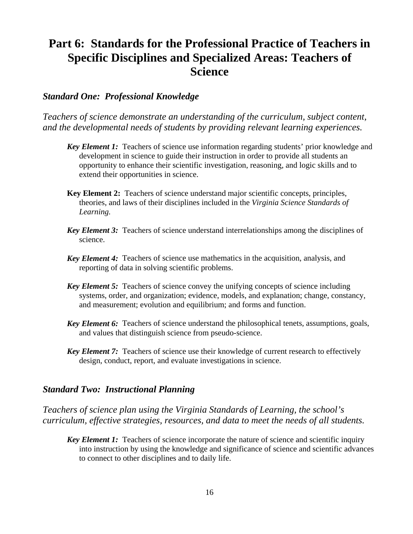# **Part 6: Standards for the Professional Practice of Teachers in Specific Disciplines and Specialized Areas: Teachers of Science**

#### *Standard One: Professional Knowledge*

*Teachers of science demonstrate an understanding of the curriculum, subject content, and the developmental needs of students by providing relevant learning experiences.* 

- *Key Element 1:* Teachers of science use information regarding students' prior knowledge and development in science to guide their instruction in order to provide all students an opportunity to enhance their scientific investigation, reasoning, and logic skills and to extend their opportunities in science.
- **Key Element 2:** Teachers of science understand major scientific concepts, principles, theories, and laws of their disciplines included in the *Virginia Science Standards of Learning.*
- *Key Element 3:* Teachers of science understand interrelationships among the disciplines of science.
- *Key Element 4:* Teachers of science use mathematics in the acquisition, analysis, and reporting of data in solving scientific problems.
- *Key Element 5:* Teachers of science convey the unifying concepts of science including systems, order, and organization; evidence, models, and explanation; change, constancy, and measurement; evolution and equilibrium; and forms and function.
- *Key Element 6:* Teachers of science understand the philosophical tenets, assumptions, goals, and values that distinguish science from pseudo-science.
- *Key Element 7:* Teachers of science use their knowledge of current research to effectively design, conduct, report, and evaluate investigations in science.

#### *Standard Two: Instructional Planning*

*Teachers of science plan using the Virginia Standards of Learning, the school's curriculum, effective strategies, resources, and data to meet the needs of all students.* 

*Key Element 1:* Teachers of science incorporate the nature of science and scientific inquiry into instruction by using the knowledge and significance of science and scientific advances to connect to other disciplines and to daily life.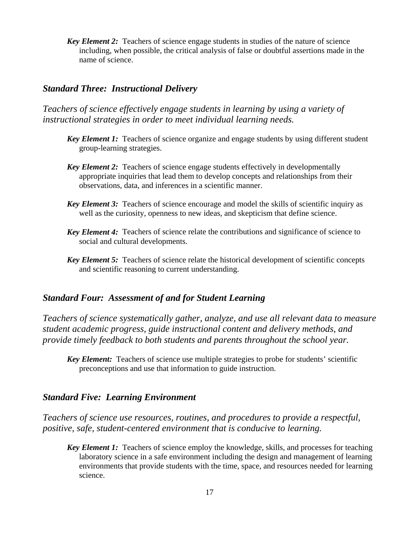*Key Element 2:* Teachers of science engage students in studies of the nature of science including, when possible, the critical analysis of false or doubtful assertions made in the name of science.

#### *Standard Three: Instructional Delivery*

*Teachers of science effectively engage students in learning by using a variety of instructional strategies in order to meet individual learning needs.* 

- *Key Element 1:* Teachers of science organize and engage students by using different student group-learning strategies.
- *Key Element 2:* Teachers of science engage students effectively in developmentally appropriate inquiries that lead them to develop concepts and relationships from their observations, data, and inferences in a scientific manner.
- *Key Element 3:* Teachers of science encourage and model the skills of scientific inquiry as well as the curiosity, openness to new ideas, and skepticism that define science.
- *Key Element 4:* Teachers of science relate the contributions and significance of science to social and cultural developments.
- *Key Element 5:* Teachers of science relate the historical development of scientific concepts and scientific reasoning to current understanding.

# *Standard Four: Assessment of and for Student Learning*

*Teachers of science systematically gather, analyze, and use all relevant data to measure student academic progress, guide instructional content and delivery methods, and provide timely feedback to both students and parents throughout the school year.* 

*Key Element:* Teachers of science use multiple strategies to probe for students' scientific preconceptions and use that information to guide instruction.

## *Standard Five: Learning Environment*

*Teachers of science use resources, routines, and procedures to provide a respectful, positive, safe, student-centered environment that is conducive to learning.* 

*Key Element 1:* Teachers of science employ the knowledge, skills, and processes for teaching laboratory science in a safe environment including the design and management of learning environments that provide students with the time, space, and resources needed for learning science.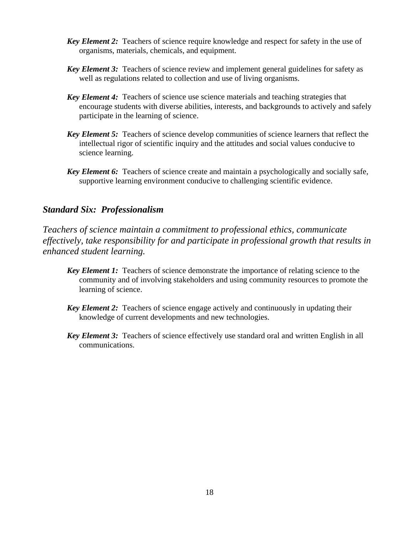- *Key Element 2:* Teachers of science require knowledge and respect for safety in the use of organisms, materials, chemicals, and equipment.
- *Key Element 3:* Teachers of science review and implement general guidelines for safety as well as regulations related to collection and use of living organisms.
- *Key Element 4:* Teachers of science use science materials and teaching strategies that encourage students with diverse abilities, interests, and backgrounds to actively and safely participate in the learning of science.
- *Key Element 5:* Teachers of science develop communities of science learners that reflect the intellectual rigor of scientific inquiry and the attitudes and social values conducive to science learning.
- *Key Element 6:* Teachers of science create and maintain a psychologically and socially safe, supportive learning environment conducive to challenging scientific evidence.

## *Standard Six: Professionalism*

*Teachers of science maintain a commitment to professional ethics, communicate effectively, take responsibility for and participate in professional growth that results in enhanced student learning.* 

- *Key Element 1:* Teachers of science demonstrate the importance of relating science to the community and of involving stakeholders and using community resources to promote the learning of science.
- *Key Element 2:* Teachers of science engage actively and continuously in updating their knowledge of current developments and new technologies.
- *Key Element 3:* Teachers of science effectively use standard oral and written English in all communications.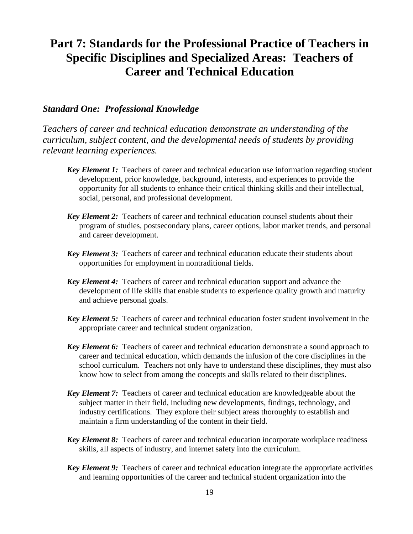# **Part 7: Standards for the Professional Practice of Teachers in Specific Disciplines and Specialized Areas: Teachers of Career and Technical Education**

# *Standard One: Professional Knowledge*

*Teachers of career and technical education demonstrate an understanding of the curriculum, subject content, and the developmental needs of students by providing relevant learning experiences.* 

- *Key Element 1:* Teachers of career and technical education use information regarding student development, prior knowledge, background, interests, and experiences to provide the opportunity for all students to enhance their critical thinking skills and their intellectual, social, personal, and professional development.
- *Key Element 2:* Teachers of career and technical education counsel students about their program of studies, postsecondary plans, career options, labor market trends, and personal and career development.
- *Key Element 3:* Teachers of career and technical education educate their students about opportunities for employment in nontraditional fields.
- *Key Element 4:* Teachers of career and technical education support and advance the development of life skills that enable students to experience quality growth and maturity and achieve personal goals.
- *Key Element 5:* Teachers of career and technical education foster student involvement in the appropriate career and technical student organization.
- *Key Element 6:* Teachers of career and technical education demonstrate a sound approach to career and technical education, which demands the infusion of the core disciplines in the school curriculum. Teachers not only have to understand these disciplines, they must also know how to select from among the concepts and skills related to their disciplines.
- *Key Element 7:* Teachers of career and technical education are knowledgeable about the subject matter in their field, including new developments, findings, technology, and industry certifications. They explore their subject areas thoroughly to establish and maintain a firm understanding of the content in their field.
- *Key Element 8:* Teachers of career and technical education incorporate workplace readiness skills, all aspects of industry, and internet safety into the curriculum.
- *Key Element 9:* Teachers of career and technical education integrate the appropriate activities and learning opportunities of the career and technical student organization into the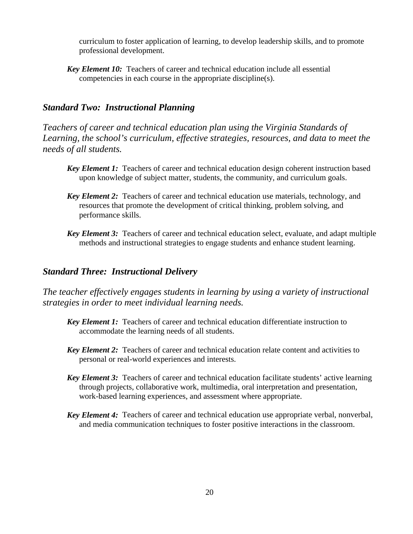curriculum to foster application of learning, to develop leadership skills, and to promote professional development.

*Key Element 10:* Teachers of career and technical education include all essential competencies in each course in the appropriate discipline(s).

#### *Standard Two: Instructional Planning*

*Teachers of career and technical education plan using the Virginia Standards of Learning, the school's curriculum, effective strategies, resources, and data to meet the needs of all students.* 

- *Key Element 1:* Teachers of career and technical education design coherent instruction based upon knowledge of subject matter, students, the community, and curriculum goals.
- *Key Element 2:* Teachers of career and technical education use materials, technology, and resources that promote the development of critical thinking, problem solving, and performance skills.
- *Key Element 3:* Teachers of career and technical education select, evaluate, and adapt multiple methods and instructional strategies to engage students and enhance student learning.

#### *Standard Three: Instructional Delivery*

*The teacher effectively engages students in learning by using a variety of instructional strategies in order to meet individual learning needs.* 

- *Key Element 1:* Teachers of career and technical education differentiate instruction to accommodate the learning needs of all students.
- *Key Element 2:* Teachers of career and technical education relate content and activities to personal or real-world experiences and interests.
- *Key Element 3:* Teachers of career and technical education facilitate students' active learning through projects, collaborative work, multimedia, oral interpretation and presentation, work-based learning experiences, and assessment where appropriate.
- *Key Element 4:* Teachers of career and technical education use appropriate verbal, nonverbal, and media communication techniques to foster positive interactions in the classroom.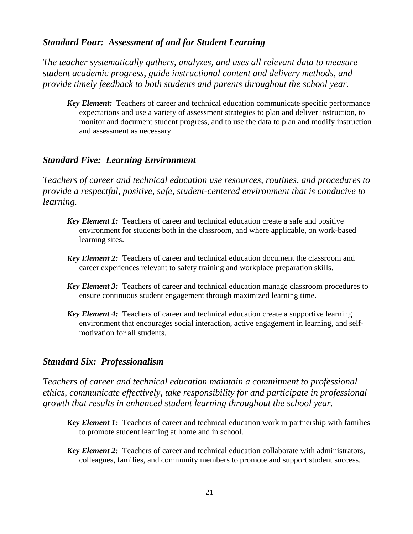# *Standard Four: Assessment of and for Student Learning*

*The teacher systematically gathers, analyzes, and uses all relevant data to measure student academic progress, guide instructional content and delivery methods, and provide timely feedback to both students and parents throughout the school year.* 

*Key Element:* Teachers of career and technical education communicate specific performance expectations and use a variety of assessment strategies to plan and deliver instruction, to monitor and document student progress, and to use the data to plan and modify instruction and assessment as necessary.

#### *Standard Five: Learning Environment*

*Teachers of career and technical education use resources, routines, and procedures to provide a respectful, positive, safe, student-centered environment that is conducive to learning.* 

- *Key Element 1:* Teachers of career and technical education create a safe and positive environment for students both in the classroom, and where applicable, on work-based learning sites.
- *Key Element 2:* Teachers of career and technical education document the classroom and career experiences relevant to safety training and workplace preparation skills.
- *Key Element 3:* Teachers of career and technical education manage classroom procedures to ensure continuous student engagement through maximized learning time.
- *Key Element 4:* Teachers of career and technical education create a supportive learning environment that encourages social interaction, active engagement in learning, and selfmotivation for all students.

#### *Standard Six: Professionalism*

*Teachers of career and technical education maintain a commitment to professional ethics, communicate effectively, take responsibility for and participate in professional growth that results in enhanced student learning throughout the school year.* 

- *Key Element 1:* Teachers of career and technical education work in partnership with families to promote student learning at home and in school.
- *Key Element 2:* Teachers of career and technical education collaborate with administrators, colleagues, families, and community members to promote and support student success.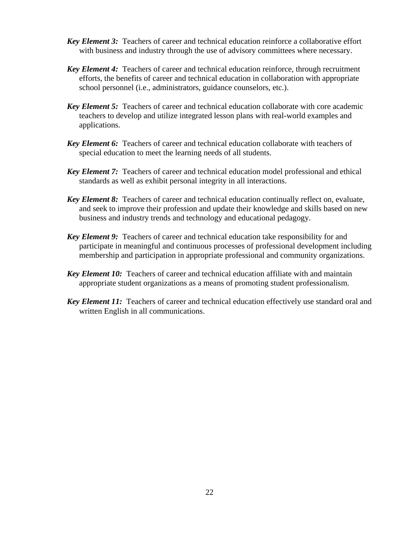- *Key Element 3:* Teachers of career and technical education reinforce a collaborative effort with business and industry through the use of advisory committees where necessary.
- *Key Element 4:* Teachers of career and technical education reinforce, through recruitment efforts, the benefits of career and technical education in collaboration with appropriate school personnel (i.e., administrators, guidance counselors, etc.).
- *Key Element 5:* Teachers of career and technical education collaborate with core academic teachers to develop and utilize integrated lesson plans with real-world examples and applications.
- *Key Element 6:* Teachers of career and technical education collaborate with teachers of special education to meet the learning needs of all students.
- *Key Element 7:* Teachers of career and technical education model professional and ethical standards as well as exhibit personal integrity in all interactions.
- *Key Element 8:* Teachers of career and technical education continually reflect on, evaluate, and seek to improve their profession and update their knowledge and skills based on new business and industry trends and technology and educational pedagogy.
- *Key Element 9:* Teachers of career and technical education take responsibility for and participate in meaningful and continuous processes of professional development including membership and participation in appropriate professional and community organizations.
- *Key Element 10:* Teachers of career and technical education affiliate with and maintain appropriate student organizations as a means of promoting student professionalism.
- *Key Element 11:* Teachers of career and technical education effectively use standard oral and written English in all communications.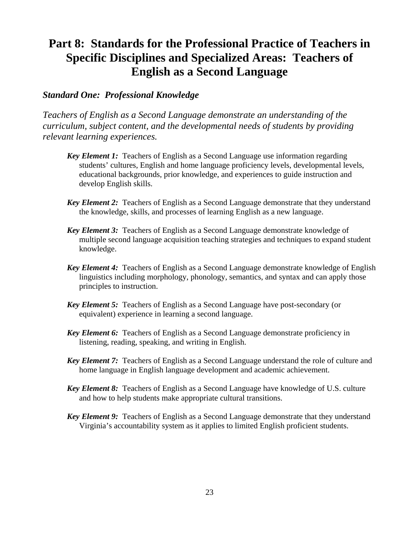# **Part 8: Standards for the Professional Practice of Teachers in Specific Disciplines and Specialized Areas: Teachers of English as a Second Language**

#### *Standard One: Professional Knowledge*

*Teachers of English as a Second Language demonstrate an understanding of the curriculum, subject content, and the developmental needs of students by providing relevant learning experiences.* 

- *Key Element 1:* Teachers of English as a Second Language use information regarding students' cultures, English and home language proficiency levels, developmental levels, educational backgrounds, prior knowledge, and experiences to guide instruction and develop English skills.
- *Key Element 2:* Teachers of English as a Second Language demonstrate that they understand the knowledge, skills, and processes of learning English as a new language.
- *Key Element 3:* Teachers of English as a Second Language demonstrate knowledge of multiple second language acquisition teaching strategies and techniques to expand student knowledge.
- *Key Element 4:* Teachers of English as a Second Language demonstrate knowledge of English linguistics including morphology, phonology, semantics, and syntax and can apply those principles to instruction.
- *Key Element 5:* Teachers of English as a Second Language have post-secondary (or equivalent) experience in learning a second language.
- *Key Element 6:* Teachers of English as a Second Language demonstrate proficiency in listening, reading, speaking, and writing in English.
- *Key Element 7:* Teachers of English as a Second Language understand the role of culture and home language in English language development and academic achievement.
- *Key Element 8:* Teachers of English as a Second Language have knowledge of U.S. culture and how to help students make appropriate cultural transitions.
- *Key Element 9:* Teachers of English as a Second Language demonstrate that they understand Virginia's accountability system as it applies to limited English proficient students.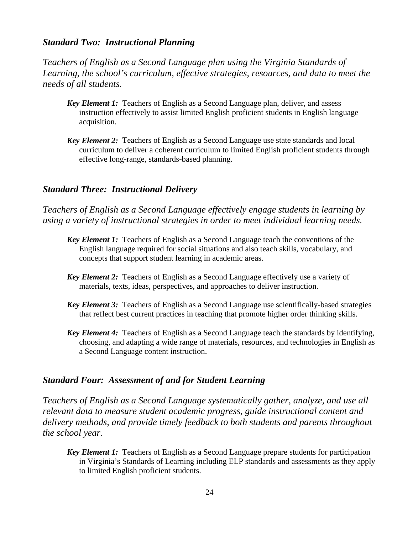## *Standard Two: Instructional Planning*

*Teachers of English as a Second Language plan using the Virginia Standards of Learning, the school's curriculum, effective strategies, resources, and data to meet the needs of all students.* 

- *Key Element 1:* Teachers of English as a Second Language plan, deliver, and assess instruction effectively to assist limited English proficient students in English language acquisition.
- *Key Element 2:* Teachers of English as a Second Language use state standards and local curriculum to deliver a coherent curriculum to limited English proficient students through effective long-range, standards-based planning.

#### *Standard Three: Instructional Delivery*

*Teachers of English as a Second Language effectively engage students in learning by using a variety of instructional strategies in order to meet individual learning needs.* 

- *Key Element 1:* Teachers of English as a Second Language teach the conventions of the English language required for social situations and also teach skills, vocabulary, and concepts that support student learning in academic areas.
- *Key Element 2:* Teachers of English as a Second Language effectively use a variety of materials, texts, ideas, perspectives, and approaches to deliver instruction.
- *Key Element 3:* Teachers of English as a Second Language use scientifically-based strategies that reflect best current practices in teaching that promote higher order thinking skills.
- *Key Element 4:* Teachers of English as a Second Language teach the standards by identifying, choosing, and adapting a wide range of materials, resources, and technologies in English as a Second Language content instruction.

#### *Standard Four: Assessment of and for Student Learning*

*Teachers of English as a Second Language systematically gather, analyze, and use all relevant data to measure student academic progress, guide instructional content and delivery methods, and provide timely feedback to both students and parents throughout the school year.* 

*Key Element 1:* Teachers of English as a Second Language prepare students for participation in Virginia's Standards of Learning including ELP standards and assessments as they apply to limited English proficient students.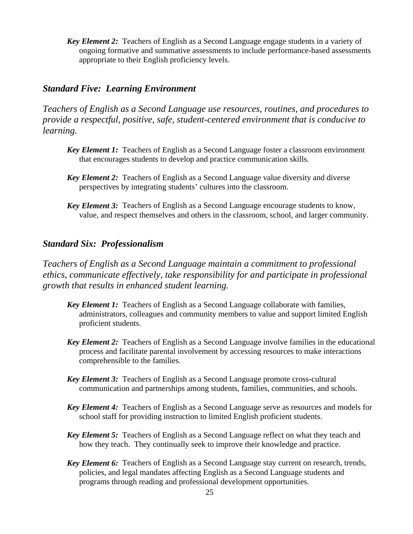*Key Element 2:* Teachers of English as a Second Language engage students in a variety of ongoing formative and summative assessments to include performance-based assessments appropriate to their English proficiency levels.

#### *Standard Five: Learning Environment*

*Teachers of English as a Second Language use resources, routines, and procedures to provide a respectful, positive, safe, student-centered environment that is conducive to learning.* 

- *Key Element 1:* Teachers of English as a Second Language foster a classroom environment that encourages students to develop and practice communication skills.
- *Key Element 2:* Teachers of English as a Second Language value diversity and diverse perspectives by integrating students' cultures into the classroom.
- *Key Element 3:* Teachers of English as a Second Language encourage students to know, value, and respect themselves and others in the classroom, school, and larger community.

#### *Standard Six: Professionalism*

*Teachers of English as a Second Language maintain a commitment to professional ethics, communicate effectively, take responsibility for and participate in professional growth that results in enhanced student learning.* 

- *Key Element 1:* Teachers of English as a Second Language collaborate with families, administrators, colleagues and community members to value and support limited English proficient students.
- *Key Element 2:* Teachers of English as a Second Language involve families in the educational process and facilitate parental involvement by accessing resources to make interactions comprehensible to the families.
- *Key Element 3:* Teachers of English as a Second Language promote cross-cultural communication and partnerships among students, families, communities, and schools.
- *Key Element 4:* Teachers of English as a Second Language serve as resources and models for school staff for providing instruction to limited English proficient students.
- *Key Element 5:* Teachers of English as a Second Language reflect on what they teach and how they teach. They continually seek to improve their knowledge and practice.
- *Key Element 6:* Teachers of English as a Second Language stay current on research, trends, policies, and legal mandates affecting English as a Second Language students and programs through reading and professional development opportunities.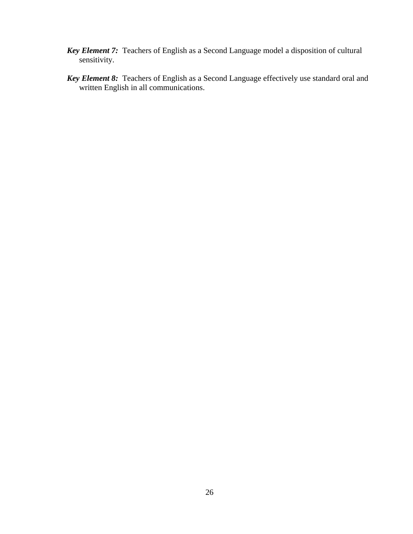- *Key Element 7:* Teachers of English as a Second Language model a disposition of cultural sensitivity.
- *Key Element 8:* Teachers of English as a Second Language effectively use standard oral and written English in all communications.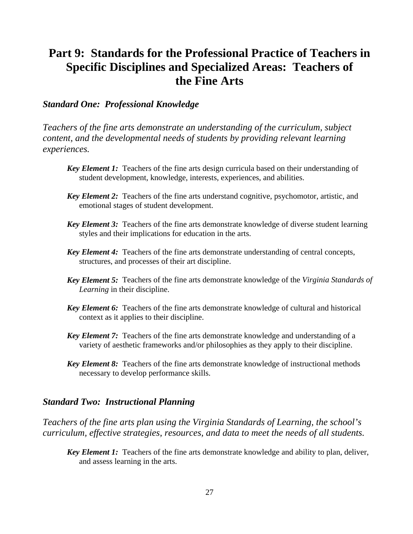# **Part 9: Standards for the Professional Practice of Teachers in Specific Disciplines and Specialized Areas: Teachers of the Fine Arts**

#### *Standard One: Professional Knowledge*

*Teachers of the fine arts demonstrate an understanding of the curriculum, subject content, and the developmental needs of students by providing relevant learning experiences.* 

- *Key Element 1:* Teachers of the fine arts design curricula based on their understanding of student development, knowledge, interests, experiences, and abilities.
- *Key Element 2:* Teachers of the fine arts understand cognitive, psychomotor, artistic, and emotional stages of student development.
- *Key Element 3:* Teachers of the fine arts demonstrate knowledge of diverse student learning styles and their implications for education in the arts.
- *Key Element 4:* Teachers of the fine arts demonstrate understanding of central concepts, structures, and processes of their art discipline.
- *Key Element 5:* Teachers of the fine arts demonstrate knowledge of the *Virginia Standards of Learning* in their discipline.
- *Key Element 6:* Teachers of the fine arts demonstrate knowledge of cultural and historical context as it applies to their discipline.
- *Key Element 7:* Teachers of the fine arts demonstrate knowledge and understanding of a variety of aesthetic frameworks and/or philosophies as they apply to their discipline.
- *Key Element 8:* Teachers of the fine arts demonstrate knowledge of instructional methods necessary to develop performance skills.

#### *Standard Two: Instructional Planning*

*Teachers of the fine arts plan using the Virginia Standards of Learning, the school's curriculum, effective strategies, resources, and data to meet the needs of all students.* 

*Key Element 1:* Teachers of the fine arts demonstrate knowledge and ability to plan, deliver, and assess learning in the arts.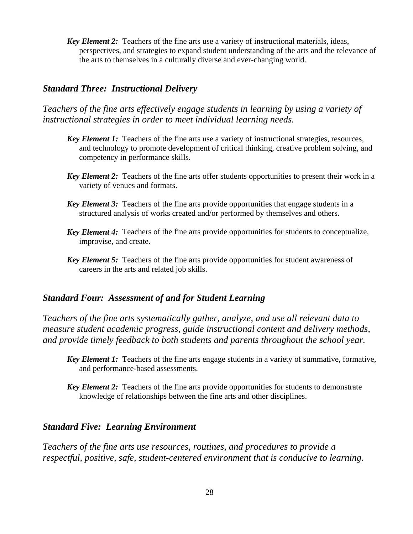*Key Element 2:* Teachers of the fine arts use a variety of instructional materials, ideas, perspectives, and strategies to expand student understanding of the arts and the relevance of the arts to themselves in a culturally diverse and ever-changing world.

#### *Standard Three: Instructional Delivery*

*Teachers of the fine arts effectively engage students in learning by using a variety of instructional strategies in order to meet individual learning needs.* 

- *Key Element 1:* Teachers of the fine arts use a variety of instructional strategies, resources, and technology to promote development of critical thinking, creative problem solving, and competency in performance skills.
- *Key Element 2:* Teachers of the fine arts offer students opportunities to present their work in a variety of venues and formats.
- *Key Element 3:* Teachers of the fine arts provide opportunities that engage students in a structured analysis of works created and/or performed by themselves and others.
- *Key Element 4:* Teachers of the fine arts provide opportunities for students to conceptualize, improvise, and create.
- *Key Element 5:* Teachers of the fine arts provide opportunities for student awareness of careers in the arts and related job skills.

# *Standard Four: Assessment of and for Student Learning*

*Teachers of the fine arts systematically gather, analyze, and use all relevant data to measure student academic progress, guide instructional content and delivery methods, and provide timely feedback to both students and parents throughout the school year.* 

- *Key Element 1:* Teachers of the fine arts engage students in a variety of summative, formative, and performance-based assessments.
- *Key Element 2:* Teachers of the fine arts provide opportunities for students to demonstrate knowledge of relationships between the fine arts and other disciplines.

# *Standard Five: Learning Environment*

*Teachers of the fine arts use resources, routines, and procedures to provide a respectful, positive, safe, student-centered environment that is conducive to learning.*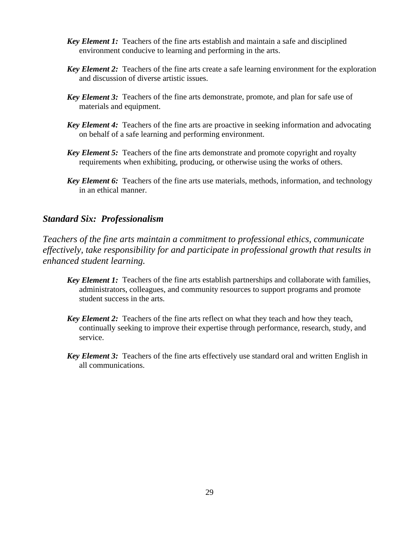- *Key Element 1:* Teachers of the fine arts establish and maintain a safe and disciplined environment conducive to learning and performing in the arts.
- *Key Element 2:* Teachers of the fine arts create a safe learning environment for the exploration and discussion of diverse artistic issues.
- *Key Element 3:* Teachers of the fine arts demonstrate, promote, and plan for safe use of materials and equipment.
- *Key Element 4:* Teachers of the fine arts are proactive in seeking information and advocating on behalf of a safe learning and performing environment.
- *Key Element 5:* Teachers of the fine arts demonstrate and promote copyright and royalty requirements when exhibiting, producing, or otherwise using the works of others.
- *Key Element 6:* Teachers of the fine arts use materials, methods, information, and technology in an ethical manner.

#### *Standard Six: Professionalism*

*Teachers of the fine arts maintain a commitment to professional ethics, communicate effectively, take responsibility for and participate in professional growth that results in enhanced student learning.* 

- *Key Element 1:* Teachers of the fine arts establish partnerships and collaborate with families, administrators, colleagues, and community resources to support programs and promote student success in the arts.
- *Key Element 2:* Teachers of the fine arts reflect on what they teach and how they teach, continually seeking to improve their expertise through performance, research, study, and service.
- *Key Element 3:* Teachers of the fine arts effectively use standard oral and written English in all communications.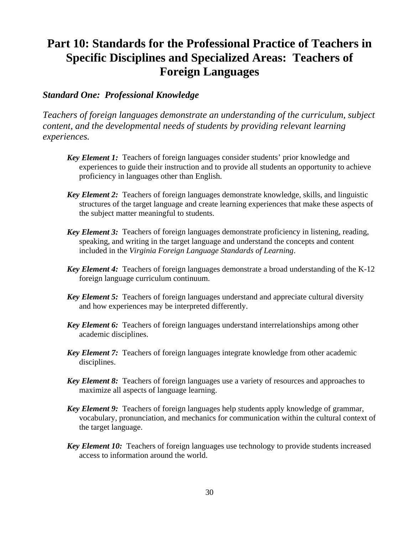# **Part 10: Standards for the Professional Practice of Teachers in Specific Disciplines and Specialized Areas: Teachers of Foreign Languages**

#### *Standard One: Professional Knowledge*

*Teachers of foreign languages demonstrate an understanding of the curriculum, subject content, and the developmental needs of students by providing relevant learning experiences.* 

- *Key Element 1:* Teachers of foreign languages consider students' prior knowledge and experiences to guide their instruction and to provide all students an opportunity to achieve proficiency in languages other than English.
- *Key Element 2:* Teachers of foreign languages demonstrate knowledge, skills, and linguistic structures of the target language and create learning experiences that make these aspects of the subject matter meaningful to students.
- *Key Element 3:* Teachers of foreign languages demonstrate proficiency in listening, reading, speaking, and writing in the target language and understand the concepts and content included in the *Virginia Foreign Language Standards of Learning*.
- *Key Element 4:* Teachers of foreign languages demonstrate a broad understanding of the K-12 foreign language curriculum continuum.
- *Key Element 5:* Teachers of foreign languages understand and appreciate cultural diversity and how experiences may be interpreted differently.
- *Key Element 6:* Teachers of foreign languages understand interrelationships among other academic disciplines.
- *Key Element 7:* Teachers of foreign languages integrate knowledge from other academic disciplines.
- *Key Element 8:* Teachers of foreign languages use a variety of resources and approaches to maximize all aspects of language learning.
- *Key Element 9:* Teachers of foreign languages help students apply knowledge of grammar, vocabulary, pronunciation, and mechanics for communication within the cultural context of the target language.
- *Key Element 10:* Teachers of foreign languages use technology to provide students increased access to information around the world.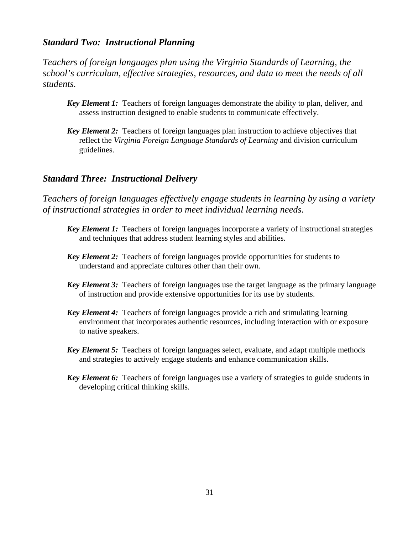# *Standard Two: Instructional Planning*

*Teachers of foreign languages plan using the Virginia Standards of Learning, the school's curriculum, effective strategies, resources, and data to meet the needs of all students.* 

- *Key Element 1:* Teachers of foreign languages demonstrate the ability to plan, deliver, and assess instruction designed to enable students to communicate effectively.
- *Key Element 2:* Teachers of foreign languages plan instruction to achieve objectives that reflect the *Virginia Foreign Language Standards of Learning* and division curriculum guidelines.

### *Standard Three: Instructional Delivery*

*Teachers of foreign languages effectively engage students in learning by using a variety of instructional strategies in order to meet individual learning needs.* 

- *Key Element 1:* Teachers of foreign languages incorporate a variety of instructional strategies and techniques that address student learning styles and abilities.
- *Key Element 2:* Teachers of foreign languages provide opportunities for students to understand and appreciate cultures other than their own.
- *Key Element 3:* Teachers of foreign languages use the target language as the primary language of instruction and provide extensive opportunities for its use by students.
- *Key Element 4:* Teachers of foreign languages provide a rich and stimulating learning environment that incorporates authentic resources, including interaction with or exposure to native speakers.
- *Key Element 5:* Teachers of foreign languages select, evaluate, and adapt multiple methods and strategies to actively engage students and enhance communication skills.
- *Key Element 6:* Teachers of foreign languages use a variety of strategies to guide students in developing critical thinking skills.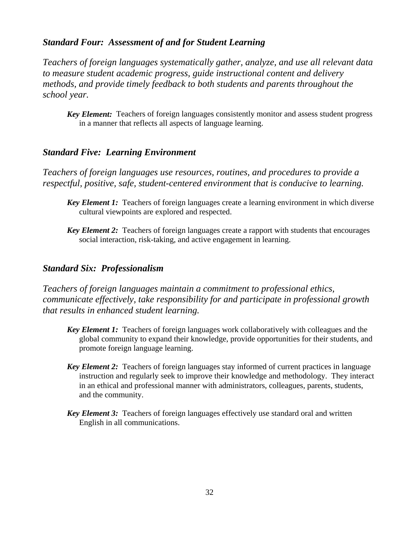# *Standard Four: Assessment of and for Student Learning*

*Teachers of foreign languages systematically gather, analyze, and use all relevant data to measure student academic progress, guide instructional content and delivery methods, and provide timely feedback to both students and parents throughout the school year.* 

*Key Element:* Teachers of foreign languages consistently monitor and assess student progress in a manner that reflects all aspects of language learning.

## *Standard Five: Learning Environment*

*Teachers of foreign languages use resources, routines, and procedures to provide a respectful, positive, safe, student-centered environment that is conducive to learning.* 

*Key Element 1:* Teachers of foreign languages create a learning environment in which diverse cultural viewpoints are explored and respected.

# *Standard Six: Professionalism*

*Teachers of foreign languages maintain a commitment to professional ethics, communicate effectively, take responsibility for and participate in professional growth that results in enhanced student learning.* 

- *Key Element 1:* Teachers of foreign languages work collaboratively with colleagues and the global community to expand their knowledge, provide opportunities for their students, and promote foreign language learning.
- **Key Element 2:** Teachers of foreign languages stay informed of current practices in language instruction and regularly seek to improve their knowledge and methodology. They interact in an ethical and professional manner with administrators, colleagues, parents, students, and the community.
- *Key Element 3:* Teachers of foreign languages effectively use standard oral and written English in all communications.

*Key Element 2:* Teachers of foreign languages create a rapport with students that encourages social interaction, risk-taking, and active engagement in learning.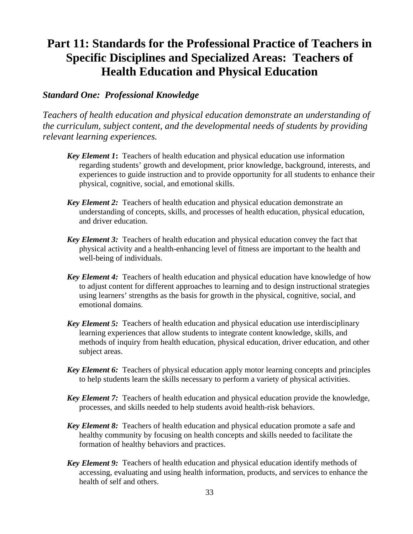# **Part 11: Standards for the Professional Practice of Teachers in Specific Disciplines and Specialized Areas: Teachers of Health Education and Physical Education**

#### *Standard One: Professional Knowledge*

*Teachers of health education and physical education demonstrate an understanding of the curriculum, subject content, and the developmental needs of students by providing relevant learning experiences.* 

- *Key Element 1***:** Teachers of health education and physical education use information regarding students' growth and development, prior knowledge, background, interests, and experiences to guide instruction and to provide opportunity for all students to enhance their physical, cognitive, social, and emotional skills.
- *Key Element 2:* Teachers of health education and physical education demonstrate an understanding of concepts, skills, and processes of health education, physical education, and driver education.
- *Key Element 3:* Teachers of health education and physical education convey the fact that physical activity and a health-enhancing level of fitness are important to the health and well-being of individuals.
- *Key Element 4:* Teachers of health education and physical education have knowledge of how to adjust content for different approaches to learning and to design instructional strategies using learners' strengths as the basis for growth in the physical, cognitive, social, and emotional domains.
- *Key Element 5:* Teachers of health education and physical education use interdisciplinary learning experiences that allow students to integrate content knowledge, skills, and methods of inquiry from health education, physical education, driver education, and other subject areas.
- *Key Element 6:* Teachers of physical education apply motor learning concepts and principles to help students learn the skills necessary to perform a variety of physical activities.
- *Key Element 7:* Teachers of health education and physical education provide the knowledge, processes, and skills needed to help students avoid health-risk behaviors.
- *Key Element 8:* Teachers of health education and physical education promote a safe and healthy community by focusing on health concepts and skills needed to facilitate the formation of healthy behaviors and practices.
- *Key Element 9:* Teachers of health education and physical education identify methods of accessing, evaluating and using health information, products, and services to enhance the health of self and others.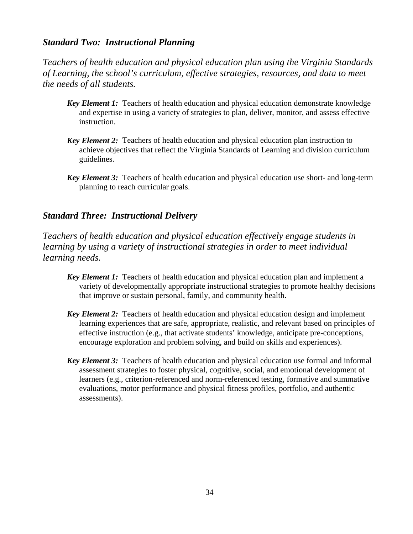# *Standard Two: Instructional Planning*

*Teachers of health education and physical education plan using the Virginia Standards of Learning, the school's curriculum, effective strategies, resources, and data to meet the needs of all students.* 

- *Key Element 1:* Teachers of health education and physical education demonstrate knowledge and expertise in using a variety of strategies to plan, deliver, monitor, and assess effective instruction.
- *Key Element 2:* Teachers of health education and physical education plan instruction to achieve objectives that reflect the Virginia Standards of Learning and division curriculum guidelines.
- *Key Element 3:* Teachers of health education and physical education use short- and long-term planning to reach curricular goals.

## *Standard Three: Instructional Delivery*

*Teachers of health education and physical education effectively engage students in learning by using a variety of instructional strategies in order to meet individual learning needs.* 

- *Key Element 1:* Teachers of health education and physical education plan and implement a variety of developmentally appropriate instructional strategies to promote healthy decisions that improve or sustain personal, family, and community health.
- *Key Element 2:* Teachers of health education and physical education design and implement learning experiences that are safe, appropriate, realistic, and relevant based on principles of effective instruction (e.g., that activate students' knowledge, anticipate pre-conceptions, encourage exploration and problem solving, and build on skills and experiences).
- *Key Element 3:* Teachers of health education and physical education use formal and informal assessment strategies to foster physical, cognitive, social, and emotional development of learners (e.g., criterion-referenced and norm-referenced testing, formative and summative evaluations, motor performance and physical fitness profiles, portfolio, and authentic assessments).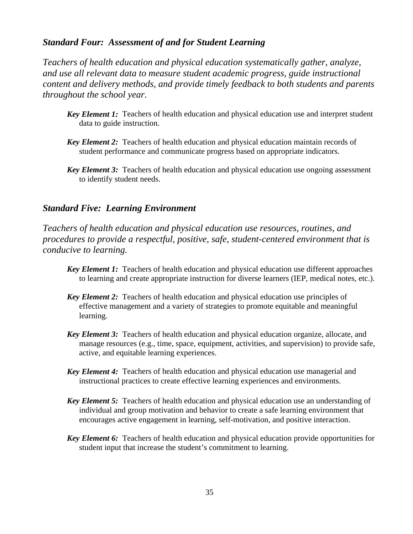# *Standard Four: Assessment of and for Student Learning*

*Teachers of health education and physical education systematically gather, analyze, and use all relevant data to measure student academic progress, guide instructional content and delivery methods, and provide timely feedback to both students and parents throughout the school year.* 

- *Key Element 1:* Teachers of health education and physical education use and interpret student data to guide instruction.
- *Key Element 2:* Teachers of health education and physical education maintain records of student performance and communicate progress based on appropriate indicators.
- *Key Element 3:* Teachers of health education and physical education use ongoing assessment to identify student needs.

### *Standard Five: Learning Environment*

*Teachers of health education and physical education use resources, routines, and procedures to provide a respectful, positive, safe, student-centered environment that is conducive to learning.* 

- *Key Element 1:* Teachers of health education and physical education use different approaches to learning and create appropriate instruction for diverse learners (IEP, medical notes, etc.).
- *Key Element 2:* Teachers of health education and physical education use principles of effective management and a variety of strategies to promote equitable and meaningful learning.
- *Key Element 3:* Teachers of health education and physical education organize, allocate, and manage resources (e.g., time, space, equipment, activities, and supervision) to provide safe, active, and equitable learning experiences.
- *Key Element 4:* Teachers of health education and physical education use managerial and instructional practices to create effective learning experiences and environments.
- *Key Element 5:* Teachers of health education and physical education use an understanding of individual and group motivation and behavior to create a safe learning environment that encourages active engagement in learning, self-motivation, and positive interaction.
- *Key Element 6:* Teachers of health education and physical education provide opportunities for student input that increase the student's commitment to learning.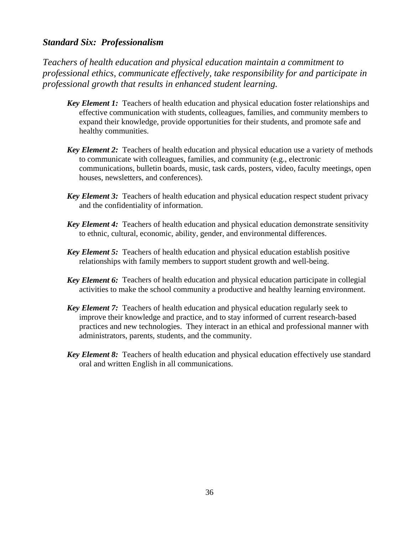# *Standard Six: Professionalism*

*Teachers of health education and physical education maintain a commitment to professional ethics, communicate effectively, take responsibility for and participate in professional growth that results in enhanced student learning.* 

- *Key Element 1:* Teachers of health education and physical education foster relationships and effective communication with students, colleagues, families, and community members to expand their knowledge, provide opportunities for their students, and promote safe and healthy communities.
- *Key Element 2:* Teachers of health education and physical education use a variety of methods to communicate with colleagues, families, and community (e.g., electronic communications, bulletin boards, music, task cards, posters, video, faculty meetings, open houses, newsletters, and conferences).
- *Key Element 3:* Teachers of health education and physical education respect student privacy and the confidentiality of information.
- *Key Element 4:* Teachers of health education and physical education demonstrate sensitivity to ethnic, cultural, economic, ability, gender, and environmental differences.
- *Key Element 5:* Teachers of health education and physical education establish positive relationships with family members to support student growth and well-being.
- *Key Element 6:* Teachers of health education and physical education participate in collegial activities to make the school community a productive and healthy learning environment.
- *Key Element 7:* Teachers of health education and physical education regularly seek to improve their knowledge and practice, and to stay informed of current research-based practices and new technologies. They interact in an ethical and professional manner with administrators, parents, students, and the community.
- *Key Element 8:* Teachers of health education and physical education effectively use standard oral and written English in all communications.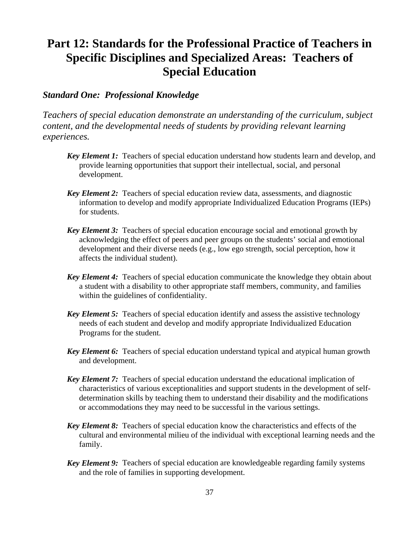# **Part 12: Standards for the Professional Practice of Teachers in Specific Disciplines and Specialized Areas: Teachers of Special Education**

#### *Standard One: Professional Knowledge*

*Teachers of special education demonstrate an understanding of the curriculum, subject content, and the developmental needs of students by providing relevant learning experiences.* 

- *Key Element 1:* Teachers of special education understand how students learn and develop, and provide learning opportunities that support their intellectual, social, and personal development.
- *Key Element 2:* Teachers of special education review data, assessments, and diagnostic information to develop and modify appropriate Individualized Education Programs (IEPs) for students.
- *Key Element 3:* Teachers of special education encourage social and emotional growth by acknowledging the effect of peers and peer groups on the students' social and emotional development and their diverse needs (e.g., low ego strength, social perception, how it affects the individual student).
- *Key Element 4:* Teachers of special education communicate the knowledge they obtain about a student with a disability to other appropriate staff members, community, and families within the guidelines of confidentiality.
- *Key Element 5:* Teachers of special education identify and assess the assistive technology needs of each student and develop and modify appropriate Individualized Education Programs for the student.
- *Key Element 6:* Teachers of special education understand typical and atypical human growth and development.
- *Key Element 7:* Teachers of special education understand the educational implication of characteristics of various exceptionalities and support students in the development of selfdetermination skills by teaching them to understand their disability and the modifications or accommodations they may need to be successful in the various settings.
- *Key Element 8:* Teachers of special education know the characteristics and effects of the cultural and environmental milieu of the individual with exceptional learning needs and the family.
- *Key Element 9:* Teachers of special education are knowledgeable regarding family systems and the role of families in supporting development.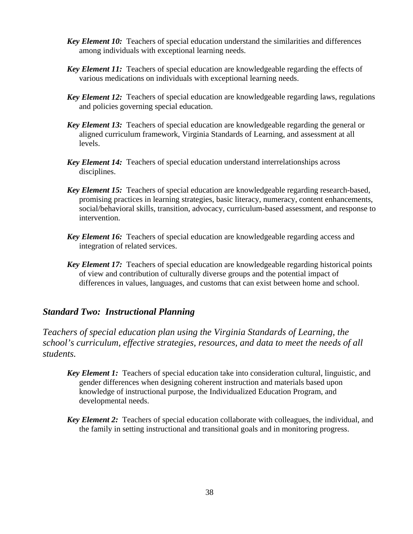- *Key Element 10:* Teachers of special education understand the similarities and differences among individuals with exceptional learning needs.
- *Key Element 11:* Teachers of special education are knowledgeable regarding the effects of various medications on individuals with exceptional learning needs.
- *Key Element 12:* Teachers of special education are knowledgeable regarding laws, regulations and policies governing special education.
- *Key Element 13:* Teachers of special education are knowledgeable regarding the general or aligned curriculum framework, Virginia Standards of Learning, and assessment at all levels.
- *Key Element 14:* Teachers of special education understand interrelationships across disciplines.
- *Key Element 15:* Teachers of special education are knowledgeable regarding research-based, promising practices in learning strategies, basic literacy, numeracy, content enhancements, social/behavioral skills, transition, advocacy, curriculum-based assessment, and response to intervention.
- *Key Element 16:* Teachers of special education are knowledgeable regarding access and integration of related services.
- *Key Element 17:* Teachers of special education are knowledgeable regarding historical points of view and contribution of culturally diverse groups and the potential impact of differences in values, languages, and customs that can exist between home and school.

# *Standard Two: Instructional Planning*

*Teachers of special education plan using the Virginia Standards of Learning, the school's curriculum, effective strategies, resources, and data to meet the needs of all students.* 

- *Key Element 1:* Teachers of special education take into consideration cultural, linguistic, and gender differences when designing coherent instruction and materials based upon knowledge of instructional purpose, the Individualized Education Program, and developmental needs.
- *Key Element 2:* Teachers of special education collaborate with colleagues, the individual, and the family in setting instructional and transitional goals and in monitoring progress.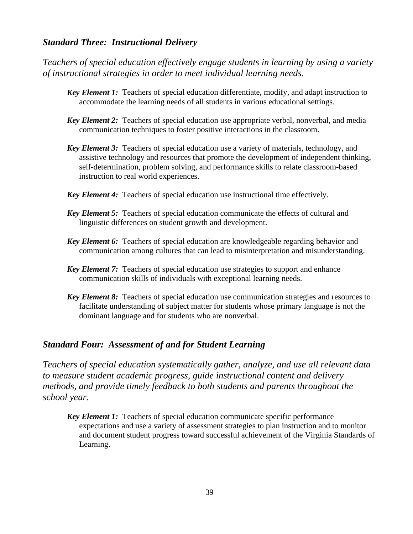# *Standard Three: Instructional Delivery*

*Teachers of special education effectively engage students in learning by using a variety of instructional strategies in order to meet individual learning needs.* 

- *Key Element 1:* Teachers of special education differentiate, modify, and adapt instruction to accommodate the learning needs of all students in various educational settings.
- *Key Element 2:* Teachers of special education use appropriate verbal, nonverbal, and media communication techniques to foster positive interactions in the classroom.
- *Key Element 3:* Teachers of special education use a variety of materials, technology, and assistive technology and resources that promote the development of independent thinking, self-determination, problem solving, and performance skills to relate classroom-based instruction to real world experiences.
- *Key Element 4:* Teachers of special education use instructional time effectively.
- *Key Element 5:* Teachers of special education communicate the effects of cultural and linguistic differences on student growth and development.
- *Key Element 6:* Teachers of special education are knowledgeable regarding behavior and communication among cultures that can lead to misinterpretation and misunderstanding.
- *Key Element 7:* Teachers of special education use strategies to support and enhance communication skills of individuals with exceptional learning needs.
- *Key Element 8:* Teachers of special education use communication strategies and resources to facilitate understanding of subject matter for students whose primary language is not the dominant language and for students who are nonverbal.

## *Standard Four: Assessment of and for Student Learning*

*Teachers of special education systematically gather, analyze, and use all relevant data to measure student academic progress, guide instructional content and delivery methods, and provide timely feedback to both students and parents throughout the school year.* 

*Key Element 1:* Teachers of special education communicate specific performance expectations and use a variety of assessment strategies to plan instruction and to monitor and document student progress toward successful achievement of the Virginia Standards of Learning.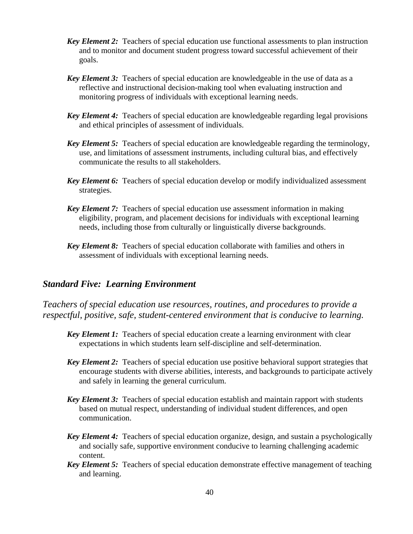- *Key Element 2:* Teachers of special education use functional assessments to plan instruction and to monitor and document student progress toward successful achievement of their goals.
- *Key Element 3:* Teachers of special education are knowledgeable in the use of data as a reflective and instructional decision-making tool when evaluating instruction and monitoring progress of individuals with exceptional learning needs.
- *Key Element 4:* Teachers of special education are knowledgeable regarding legal provisions and ethical principles of assessment of individuals.
- *Key Element 5:* Teachers of special education are knowledgeable regarding the terminology, use, and limitations of assessment instruments, including cultural bias, and effectively communicate the results to all stakeholders.
- *Key Element 6:* Teachers of special education develop or modify individualized assessment strategies.
- *Key Element 7:* Teachers of special education use assessment information in making eligibility, program, and placement decisions for individuals with exceptional learning needs, including those from culturally or linguistically diverse backgrounds.
- *Key Element 8:* Teachers of special education collaborate with families and others in assessment of individuals with exceptional learning needs.

#### *Standard Five: Learning Environment*

*Teachers of special education use resources, routines, and procedures to provide a respectful, positive, safe, student-centered environment that is conducive to learning.* 

- *Key Element 1:* Teachers of special education create a learning environment with clear expectations in which students learn self-discipline and self-determination.
- *Key Element 2:* Teachers of special education use positive behavioral support strategies that encourage students with diverse abilities, interests, and backgrounds to participate actively and safely in learning the general curriculum.
- *Key Element 3:* Teachers of special education establish and maintain rapport with students based on mutual respect, understanding of individual student differences, and open communication.
- *Key Element 4:* Teachers of special education organize, design, and sustain a psychologically and socially safe, supportive environment conducive to learning challenging academic content.
- *Key Element 5:* Teachers of special education demonstrate effective management of teaching and learning.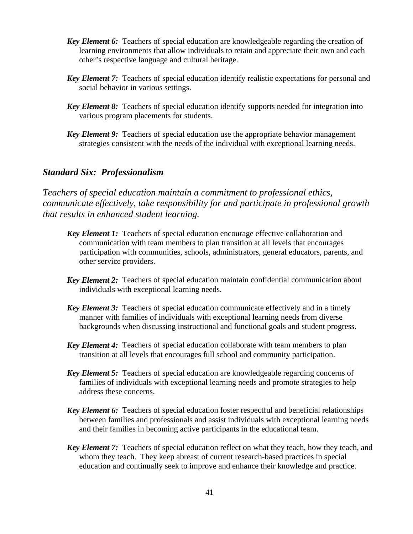- *Key Element 6:* Teachers of special education are knowledgeable regarding the creation of learning environments that allow individuals to retain and appreciate their own and each other's respective language and cultural heritage.
- *Key Element 7:* Teachers of special education identify realistic expectations for personal and social behavior in various settings.
- *Key Element 8:* Teachers of special education identify supports needed for integration into various program placements for students.
- *Key Element 9:* Teachers of special education use the appropriate behavior management strategies consistent with the needs of the individual with exceptional learning needs.

## *Standard Six: Professionalism*

*Teachers of special education maintain a commitment to professional ethics, communicate effectively, take responsibility for and participate in professional growth that results in enhanced student learning.* 

- *Key Element 1:* Teachers of special education encourage effective collaboration and communication with team members to plan transition at all levels that encourages participation with communities, schools, administrators, general educators, parents, and other service providers.
- *Key Element 2:* Teachers of special education maintain confidential communication about individuals with exceptional learning needs.
- *Key Element 3:* Teachers of special education communicate effectively and in a timely manner with families of individuals with exceptional learning needs from diverse backgrounds when discussing instructional and functional goals and student progress.
- *Key Element 4:* Teachers of special education collaborate with team members to plan transition at all levels that encourages full school and community participation.
- *Key Element 5:* Teachers of special education are knowledgeable regarding concerns of families of individuals with exceptional learning needs and promote strategies to help address these concerns.
- *Key Element 6:* Teachers of special education foster respectful and beneficial relationships between families and professionals and assist individuals with exceptional learning needs and their families in becoming active participants in the educational team.
- *Key Element 7:* Teachers of special education reflect on what they teach, how they teach, and whom they teach. They keep abreast of current research-based practices in special education and continually seek to improve and enhance their knowledge and practice.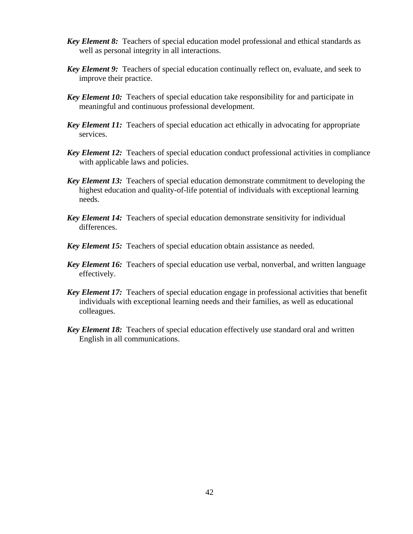- *Key Element 8:* Teachers of special education model professional and ethical standards as well as personal integrity in all interactions.
- *Key Element 9:* Teachers of special education continually reflect on, evaluate, and seek to improve their practice.
- *Key Element 10:* Teachers of special education take responsibility for and participate in meaningful and continuous professional development.
- *Key Element 11:* Teachers of special education act ethically in advocating for appropriate services.
- *Key Element 12:* Teachers of special education conduct professional activities in compliance with applicable laws and policies.
- *Key Element 13:* Teachers of special education demonstrate commitment to developing the highest education and quality-of-life potential of individuals with exceptional learning needs.
- *Key Element 14:* Teachers of special education demonstrate sensitivity for individual differences.
- *Key Element 15:* Teachers of special education obtain assistance as needed.
- *Key Element 16:* Teachers of special education use verbal, nonverbal, and written language effectively.
- *Key Element 17:* Teachers of special education engage in professional activities that benefit individuals with exceptional learning needs and their families, as well as educational colleagues.
- *Key Element 18:* Teachers of special education effectively use standard oral and written English in all communications.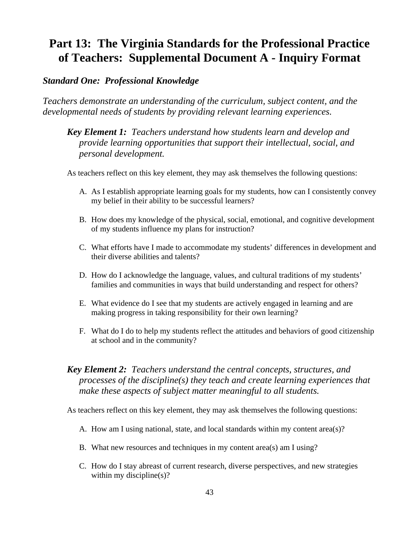# **Part 13: The Virginia Standards for the Professional Practice of Teachers: Supplemental Document A - Inquiry Format**

### *Standard One: Professional Knowledge*

*Teachers demonstrate an understanding of the curriculum, subject content, and the developmental needs of students by providing relevant learning experiences.* 

*Key Element 1: Teachers understand how students learn and develop and provide learning opportunities that support their intellectual, social, and personal development.* 

As teachers reflect on this key element, they may ask themselves the following questions:

- A. As I establish appropriate learning goals for my students, how can I consistently convey my belief in their ability to be successful learners?
- B. How does my knowledge of the physical, social, emotional, and cognitive development of my students influence my plans for instruction?
- C. What efforts have I made to accommodate my students' differences in development and their diverse abilities and talents?
- D. How do I acknowledge the language, values, and cultural traditions of my students' families and communities in ways that build understanding and respect for others?
- E. What evidence do I see that my students are actively engaged in learning and are making progress in taking responsibility for their own learning?
- F. What do I do to help my students reflect the attitudes and behaviors of good citizenship at school and in the community?

# *Key Element 2: Teachers understand the central concepts, structures, and processes of the discipline(s) they teach and create learning experiences that make these aspects of subject matter meaningful to all students.*

- A. How am I using national, state, and local standards within my content area(s)?
- B. What new resources and techniques in my content area(s) am I using?
- C. How do I stay abreast of current research, diverse perspectives, and new strategies within my discipline(s)?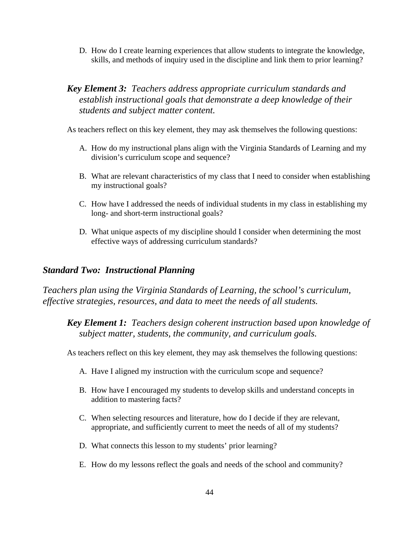D. How do I create learning experiences that allow students to integrate the knowledge, skills, and methods of inquiry used in the discipline and link them to prior learning?

# *Key Element 3: Teachers address appropriate curriculum standards and establish instructional goals that demonstrate a deep knowledge of their students and subject matter content.*

As teachers reflect on this key element, they may ask themselves the following questions:

- A. How do my instructional plans align with the Virginia Standards of Learning and my division's curriculum scope and sequence?
- B. What are relevant characteristics of my class that I need to consider when establishing my instructional goals?
- C. How have I addressed the needs of individual students in my class in establishing my long- and short-term instructional goals?
- D. What unique aspects of my discipline should I consider when determining the most effective ways of addressing curriculum standards?

#### *Standard Two: Instructional Planning*

*Teachers plan using the Virginia Standards of Learning, the school's curriculum, effective strategies, resources, and data to meet the needs of all students.* 

*Key Element 1: Teachers design coherent instruction based upon knowledge of subject matter, students, the community, and curriculum goals.* 

- A. Have I aligned my instruction with the curriculum scope and sequence?
- B. How have I encouraged my students to develop skills and understand concepts in addition to mastering facts?
- C. When selecting resources and literature, how do I decide if they are relevant, appropriate, and sufficiently current to meet the needs of all of my students?
- D. What connects this lesson to my students' prior learning?
- E. How do my lessons reflect the goals and needs of the school and community?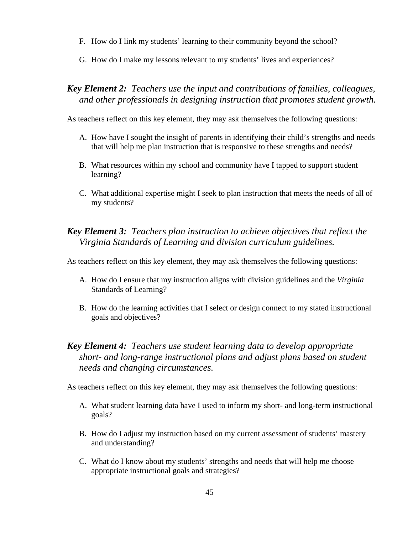- F. How do I link my students' learning to their community beyond the school?
- G. How do I make my lessons relevant to my students' lives and experiences?

## *Key Element 2: Teachers use the input and contributions of families, colleagues, and other professionals in designing instruction that promotes student growth.*

As teachers reflect on this key element, they may ask themselves the following questions:

- A. How have I sought the insight of parents in identifying their child's strengths and needs that will help me plan instruction that is responsive to these strengths and needs?
- B. What resources within my school and community have I tapped to support student learning?
- C. What additional expertise might I seek to plan instruction that meets the needs of all of my students?

## *Key Element 3: Teachers plan instruction to achieve objectives that reflect the Virginia Standards of Learning and division curriculum guidelines.*

As teachers reflect on this key element, they may ask themselves the following questions:

- A. How do I ensure that my instruction aligns with division guidelines and the *Virginia*  Standards of Learning?
- B. How do the learning activities that I select or design connect to my stated instructional goals and objectives?

# *Key Element 4: Teachers use student learning data to develop appropriate short- and long-range instructional plans and adjust plans based on student needs and changing circumstances.*

- A. What student learning data have I used to inform my short- and long-term instructional goals?
- B. How do I adjust my instruction based on my current assessment of students' mastery and understanding?
- C. What do I know about my students' strengths and needs that will help me choose appropriate instructional goals and strategies?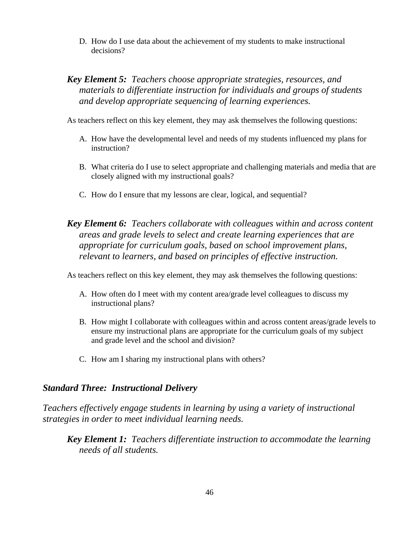D. How do I use data about the achievement of my students to make instructional decisions?

# *Key Element 5: Teachers choose appropriate strategies, resources, and materials to differentiate instruction for individuals and groups of students and develop appropriate sequencing of learning experiences.*

As teachers reflect on this key element, they may ask themselves the following questions:

- A. How have the developmental level and needs of my students influenced my plans for instruction?
- B. What criteria do I use to select appropriate and challenging materials and media that are closely aligned with my instructional goals?
- C. How do I ensure that my lessons are clear, logical, and sequential?
- *Key Element 6: Teachers collaborate with colleagues within and across content areas and grade levels to select and create learning experiences that are appropriate for curriculum goals, based on school improvement plans, relevant to learners, and based on principles of effective instruction.*

As teachers reflect on this key element, they may ask themselves the following questions:

- A. How often do I meet with my content area/grade level colleagues to discuss my instructional plans?
- B. How might I collaborate with colleagues within and across content areas/grade levels to ensure my instructional plans are appropriate for the curriculum goals of my subject and grade level and the school and division?
- C. How am I sharing my instructional plans with others?

#### *Standard Three: Instructional Delivery*

*Teachers effectively engage students in learning by using a variety of instructional strategies in order to meet individual learning needs.* 

*Key Element 1: Teachers differentiate instruction to accommodate the learning needs of all students.*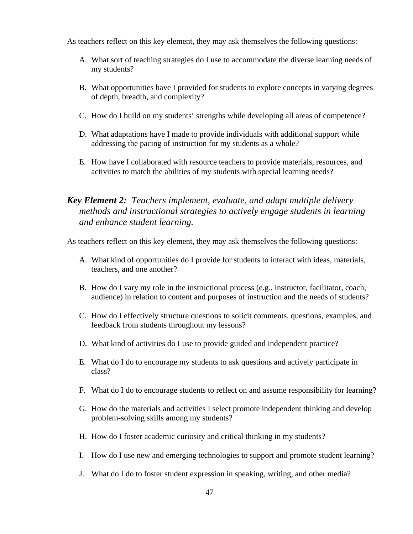As teachers reflect on this key element, they may ask themselves the following questions:

- A. What sort of teaching strategies do I use to accommodate the diverse learning needs of my students?
- B. What opportunities have I provided for students to explore concepts in varying degrees of depth, breadth, and complexity?
- C. How do I build on my students' strengths while developing all areas of competence?
- D. What adaptations have I made to provide individuals with additional support while addressing the pacing of instruction for my students as a whole?
- E. How have I collaborated with resource teachers to provide materials, resources, and activities to match the abilities of my students with special learning needs?

# *Key Element 2: Teachers implement, evaluate, and adapt multiple delivery methods and instructional strategies to actively engage students in learning and enhance student learning.*

- A. What kind of opportunities do I provide for students to interact with ideas, materials, teachers, and one another?
- B. How do I vary my role in the instructional process (e.g., instructor, facilitator, coach, audience) in relation to content and purposes of instruction and the needs of students?
- C. How do I effectively structure questions to solicit comments, questions, examples, and feedback from students throughout my lessons?
- D. What kind of activities do I use to provide guided and independent practice?
- E. What do I do to encourage my students to ask questions and actively participate in class?
- F. What do I do to encourage students to reflect on and assume responsibility for learning?
- G. How do the materials and activities I select promote independent thinking and develop problem-solving skills among my students?
- H. How do I foster academic curiosity and critical thinking in my students?
- I. How do I use new and emerging technologies to support and promote student learning?
- J. What do I do to foster student expression in speaking, writing, and other media?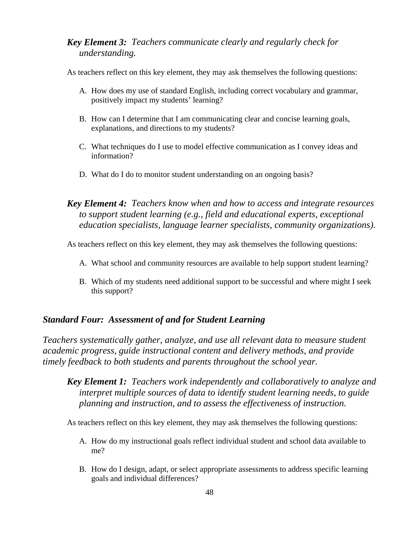# *Key Element 3: Teachers communicate clearly and regularly check for understanding.*

As teachers reflect on this key element, they may ask themselves the following questions:

- A. How does my use of standard English, including correct vocabulary and grammar, positively impact my students' learning?
- B. How can I determine that I am communicating clear and concise learning goals, explanations, and directions to my students?
- C. What techniques do I use to model effective communication as I convey ideas and information?
- D. What do I do to monitor student understanding on an ongoing basis?

# *Key Element 4: Teachers know when and how to access and integrate resources to support student learning (e.g., field and educational experts, exceptional education specialists, language learner specialists, community organizations).*

As teachers reflect on this key element, they may ask themselves the following questions:

- A. What school and community resources are available to help support student learning?
- B. Which of my students need additional support to be successful and where might I seek this support?

## *Standard Four: Assessment of and for Student Learning*

*Teachers systematically gather, analyze, and use all relevant data to measure student academic progress, guide instructional content and delivery methods, and provide timely feedback to both students and parents throughout the school year.* 

# *Key Element 1: Teachers work independently and collaboratively to analyze and interpret multiple sources of data to identify student learning needs, to guide planning and instruction, and to assess the effectiveness of instruction.*

- A. How do my instructional goals reflect individual student and school data available to me?
- B. How do I design, adapt, or select appropriate assessments to address specific learning goals and individual differences?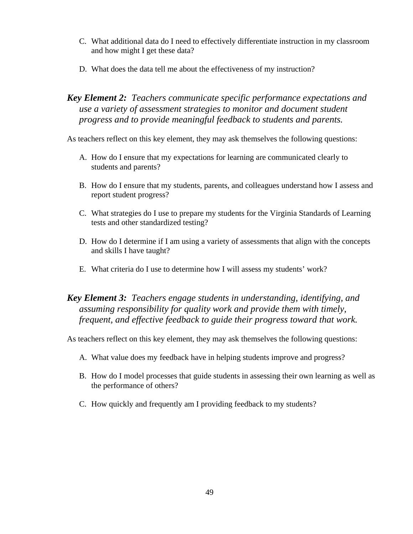- C. What additional data do I need to effectively differentiate instruction in my classroom and how might I get these data?
- D. What does the data tell me about the effectiveness of my instruction?

# *Key Element 2: Teachers communicate specific performance expectations and use a variety of assessment strategies to monitor and document student progress and to provide meaningful feedback to students and parents.*

As teachers reflect on this key element, they may ask themselves the following questions:

- A. How do I ensure that my expectations for learning are communicated clearly to students and parents?
- B. How do I ensure that my students, parents, and colleagues understand how I assess and report student progress?
- C. What strategies do I use to prepare my students for the Virginia Standards of Learning tests and other standardized testing?
- D. How do I determine if I am using a variety of assessments that align with the concepts and skills I have taught?
- E. What criteria do I use to determine how I will assess my students' work?

# *Key Element 3: Teachers engage students in understanding, identifying, and assuming responsibility for quality work and provide them with timely, frequent, and effective feedback to guide their progress toward that work.*

- A. What value does my feedback have in helping students improve and progress?
- B. How do I model processes that guide students in assessing their own learning as well as the performance of others?
- C. How quickly and frequently am I providing feedback to my students?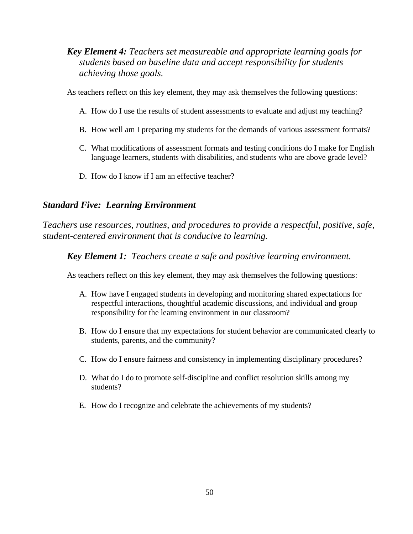*Key Element 4: Teachers set measureable and appropriate learning goals for students based on baseline data and accept responsibility for students achieving those goals.* 

As teachers reflect on this key element, they may ask themselves the following questions:

- A. How do I use the results of student assessments to evaluate and adjust my teaching?
- B. How well am I preparing my students for the demands of various assessment formats?
- C. What modifications of assessment formats and testing conditions do I make for English language learners, students with disabilities, and students who are above grade level?
- D. How do I know if I am an effective teacher?

### *Standard Five: Learning Environment*

*Teachers use resources, routines, and procedures to provide a respectful, positive, safe, student-centered environment that is conducive to learning.* 

*Key Element 1: Teachers create a safe and positive learning environment.* 

- A. How have I engaged students in developing and monitoring shared expectations for respectful interactions, thoughtful academic discussions, and individual and group responsibility for the learning environment in our classroom?
- B. How do I ensure that my expectations for student behavior are communicated clearly to students, parents, and the community?
- C. How do I ensure fairness and consistency in implementing disciplinary procedures?
- D. What do I do to promote self-discipline and conflict resolution skills among my students?
- E. How do I recognize and celebrate the achievements of my students?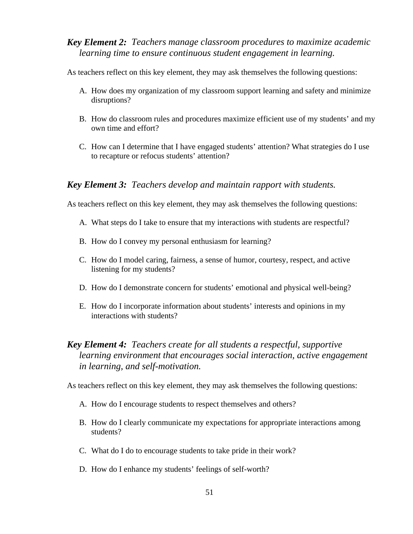# *Key Element 2: Teachers manage classroom procedures to maximize academic learning time to ensure continuous student engagement in learning.*

As teachers reflect on this key element, they may ask themselves the following questions:

- A. How does my organization of my classroom support learning and safety and minimize disruptions?
- B. How do classroom rules and procedures maximize efficient use of my students' and my own time and effort?
- C. How can I determine that I have engaged students' attention? What strategies do I use to recapture or refocus students' attention?

#### *Key Element 3: Teachers develop and maintain rapport with students.*

As teachers reflect on this key element, they may ask themselves the following questions:

- A. What steps do I take to ensure that my interactions with students are respectful?
- B. How do I convey my personal enthusiasm for learning?
- C. How do I model caring, fairness, a sense of humor, courtesy, respect, and active listening for my students?
- D. How do I demonstrate concern for students' emotional and physical well-being?
- E. How do I incorporate information about students' interests and opinions in my interactions with students?
- *Key Element 4: Teachers create for all students a respectful, supportive learning environment that encourages social interaction, active engagement in learning, and self-motivation.*

- A. How do I encourage students to respect themselves and others?
- B. How do I clearly communicate my expectations for appropriate interactions among students?
- C. What do I do to encourage students to take pride in their work?
- D. How do I enhance my students' feelings of self-worth?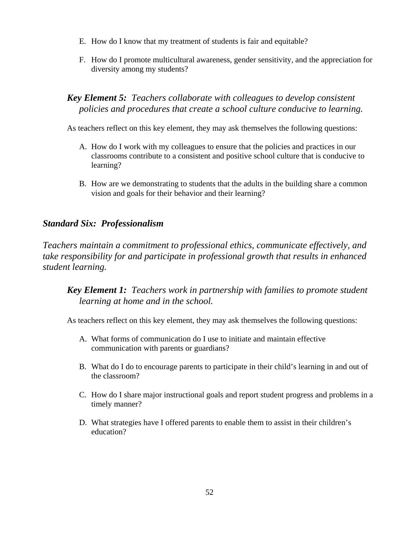- E. How do I know that my treatment of students is fair and equitable?
- F. How do I promote multicultural awareness, gender sensitivity, and the appreciation for diversity among my students?

# *Key Element 5: Teachers collaborate with colleagues to develop consistent policies and procedures that create a school culture conducive to learning.*

As teachers reflect on this key element, they may ask themselves the following questions:

- A. How do I work with my colleagues to ensure that the policies and practices in our classrooms contribute to a consistent and positive school culture that is conducive to learning?
- B. How are we demonstrating to students that the adults in the building share a common vision and goals for their behavior and their learning?

## *Standard Six: Professionalism*

*Teachers maintain a commitment to professional ethics, communicate effectively, and take responsibility for and participate in professional growth that results in enhanced student learning.* 

*Key Element 1: Teachers work in partnership with families to promote student learning at home and in the school.* 

- A. What forms of communication do I use to initiate and maintain effective communication with parents or guardians?
- B. What do I do to encourage parents to participate in their child's learning in and out of the classroom?
- C. How do I share major instructional goals and report student progress and problems in a timely manner?
- D. What strategies have I offered parents to enable them to assist in their children's education?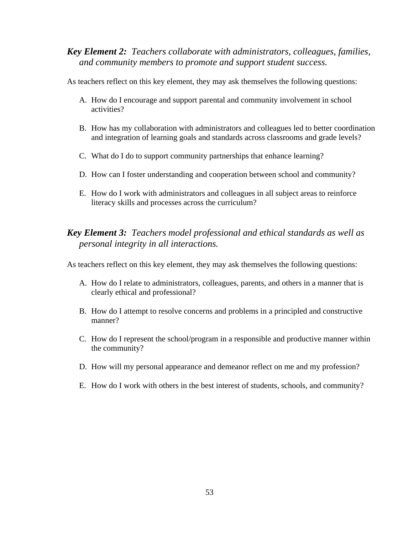## *Key Element 2: Teachers collaborate with administrators, colleagues, families, and community members to promote and support student success.*

As teachers reflect on this key element, they may ask themselves the following questions:

- A. How do I encourage and support parental and community involvement in school activities?
- B. How has my collaboration with administrators and colleagues led to better coordination and integration of learning goals and standards across classrooms and grade levels?
- C. What do I do to support community partnerships that enhance learning?
- D. How can I foster understanding and cooperation between school and community?
- E. How do I work with administrators and colleagues in all subject areas to reinforce literacy skills and processes across the curriculum?

# *Key Element 3: Teachers model professional and ethical standards as well as personal integrity in all interactions.*

- A. How do I relate to administrators, colleagues, parents, and others in a manner that is clearly ethical and professional?
- B. How do I attempt to resolve concerns and problems in a principled and constructive manner?
- C. How do I represent the school/program in a responsible and productive manner within the community?
- D. How will my personal appearance and demeanor reflect on me and my profession?
- E. How do I work with others in the best interest of students, schools, and community?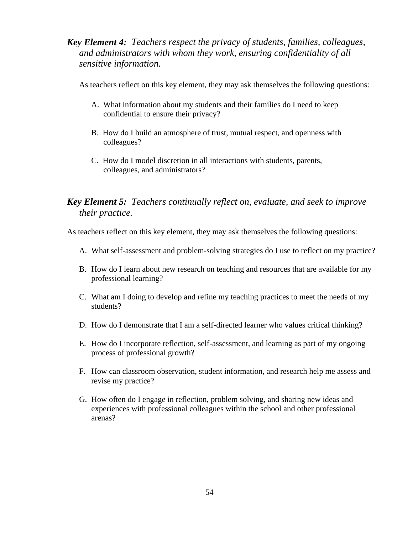# *Key Element 4: Teachers respect the privacy of students, families, colleagues, and administrators with whom they work, ensuring confidentiality of all sensitive information.*

As teachers reflect on this key element, they may ask themselves the following questions:

- A. What information about my students and their families do I need to keep confidential to ensure their privacy?
- B. How do I build an atmosphere of trust, mutual respect, and openness with colleagues?
- C. How do I model discretion in all interactions with students, parents, colleagues, and administrators?

## *Key Element 5: Teachers continually reflect on, evaluate, and seek to improve their practice.*

- A. What self-assessment and problem-solving strategies do I use to reflect on my practice?
- B. How do I learn about new research on teaching and resources that are available for my professional learning?
- C. What am I doing to develop and refine my teaching practices to meet the needs of my students?
- D. How do I demonstrate that I am a self-directed learner who values critical thinking?
- E. How do I incorporate reflection, self-assessment, and learning as part of my ongoing process of professional growth?
- F. How can classroom observation, student information, and research help me assess and revise my practice?
- G. How often do I engage in reflection, problem solving, and sharing new ideas and experiences with professional colleagues within the school and other professional arenas?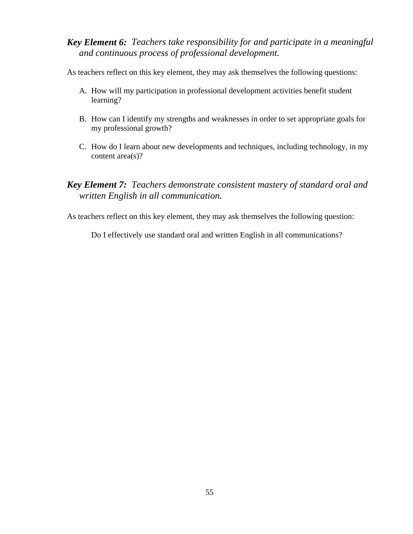# *Key Element 6: Teachers take responsibility for and participate in a meaningful and continuous process of professional development.*

As teachers reflect on this key element, they may ask themselves the following questions:

- A. How will my participation in professional development activities benefit student learning?
- B. How can I identify my strengths and weaknesses in order to set appropriate goals for my professional growth?
- C. How do I learn about new developments and techniques, including technology, in my content area(s)?

# *Key Element 7: Teachers demonstrate consistent mastery of standard oral and written English in all communication.*

As teachers reflect on this key element, they may ask themselves the following question:

Do I effectively use standard oral and written English in all communications?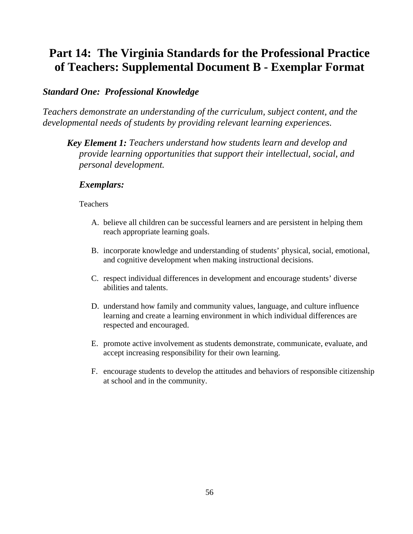# **Part 14: The Virginia Standards for the Professional Practice of Teachers: Supplemental Document B - Exemplar Format**

# *Standard One: Professional Knowledge*

*Teachers demonstrate an understanding of the curriculum, subject content, and the developmental needs of students by providing relevant learning experiences.* 

*Key Element 1: Teachers understand how students learn and develop and provide learning opportunities that support their intellectual, social, and personal development.* 

### *Exemplars:*

- A. believe all children can be successful learners and are persistent in helping them reach appropriate learning goals.
- B. incorporate knowledge and understanding of students' physical, social, emotional, and cognitive development when making instructional decisions.
- C. respect individual differences in development and encourage students' diverse abilities and talents.
- D. understand how family and community values, language, and culture influence learning and create a learning environment in which individual differences are respected and encouraged.
- E. promote active involvement as students demonstrate, communicate, evaluate, and accept increasing responsibility for their own learning.
- F. encourage students to develop the attitudes and behaviors of responsible citizenship at school and in the community.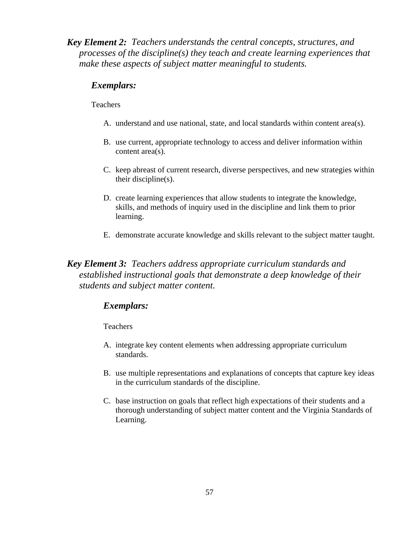*Key Element 2: Teachers understands the central concepts, structures, and processes of the discipline(s) they teach and create learning experiences that make these aspects of subject matter meaningful to students.* 

#### *Exemplars:*

Teachers

- A. understand and use national, state, and local standards within content area(s).
- B. use current, appropriate technology to access and deliver information within content area(s).
- C. keep abreast of current research, diverse perspectives, and new strategies within their discipline(s).
- D. create learning experiences that allow students to integrate the knowledge, skills, and methods of inquiry used in the discipline and link them to prior learning.
- E. demonstrate accurate knowledge and skills relevant to the subject matter taught.

# *Key Element 3: Teachers address appropriate curriculum standards and established instructional goals that demonstrate a deep knowledge of their students and subject matter content.*

## *Exemplars:*

- A. integrate key content elements when addressing appropriate curriculum standards.
- B. use multiple representations and explanations of concepts that capture key ideas in the curriculum standards of the discipline.
- C. base instruction on goals that reflect high expectations of their students and a thorough understanding of subject matter content and the Virginia Standards of Learning.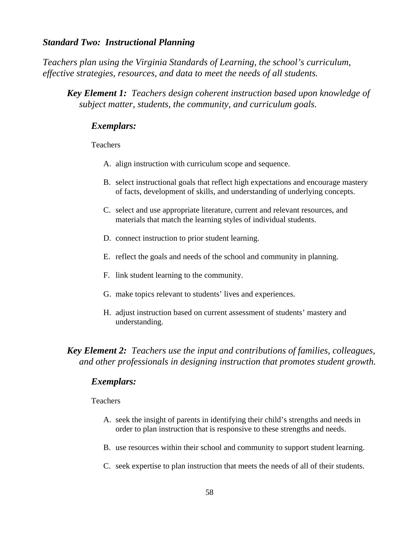## *Standard Two: Instructional Planning*

*Teachers plan using the Virginia Standards of Learning, the school's curriculum, effective strategies, resources, and data to meet the needs of all students.* 

*Key Element 1: Teachers design coherent instruction based upon knowledge of subject matter, students, the community, and curriculum goals.* 

#### *Exemplars:*

**Teachers** 

- A. align instruction with curriculum scope and sequence.
- B. select instructional goals that reflect high expectations and encourage mastery of facts, development of skills, and understanding of underlying concepts.
- C. select and use appropriate literature, current and relevant resources, and materials that match the learning styles of individual students.
- D. connect instruction to prior student learning.
- E. reflect the goals and needs of the school and community in planning.
- F. link student learning to the community.
- G. make topics relevant to students' lives and experiences.
- H. adjust instruction based on current assessment of students' mastery and understanding.

## *Key Element 2: Teachers use the input and contributions of families, colleagues, and other professionals in designing instruction that promotes student growth.*

#### *Exemplars:*

- A. seek the insight of parents in identifying their child's strengths and needs in order to plan instruction that is responsive to these strengths and needs.
- B. use resources within their school and community to support student learning.
- C. seek expertise to plan instruction that meets the needs of all of their students.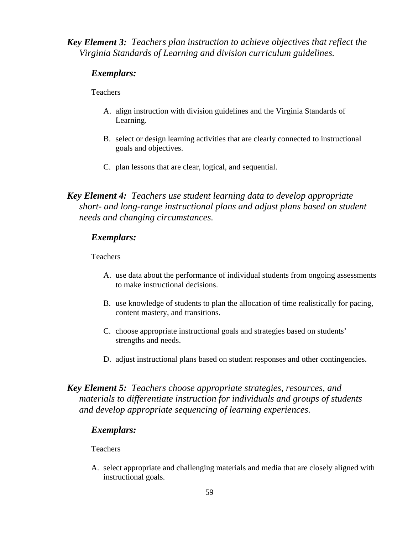*Key Element 3: Teachers plan instruction to achieve objectives that reflect the Virginia Standards of Learning and division curriculum guidelines.* 

#### *Exemplars:*

Teachers

- A. align instruction with division guidelines and the Virginia Standards of Learning.
- B. select or design learning activities that are clearly connected to instructional goals and objectives.
- C. plan lessons that are clear, logical, and sequential.

# *Key Element 4: Teachers use student learning data to develop appropriate short- and long-range instructional plans and adjust plans based on student needs and changing circumstances.*

#### *Exemplars:*

Teachers

- A. use data about the performance of individual students from ongoing assessments to make instructional decisions.
- B. use knowledge of students to plan the allocation of time realistically for pacing, content mastery, and transitions.
- C. choose appropriate instructional goals and strategies based on students' strengths and needs.
- D. adjust instructional plans based on student responses and other contingencies.

*Key Element 5: Teachers choose appropriate strategies, resources, and materials to differentiate instruction for individuals and groups of students and develop appropriate sequencing of learning experiences.* 

#### *Exemplars:*

Teachers

A. select appropriate and challenging materials and media that are closely aligned with instructional goals.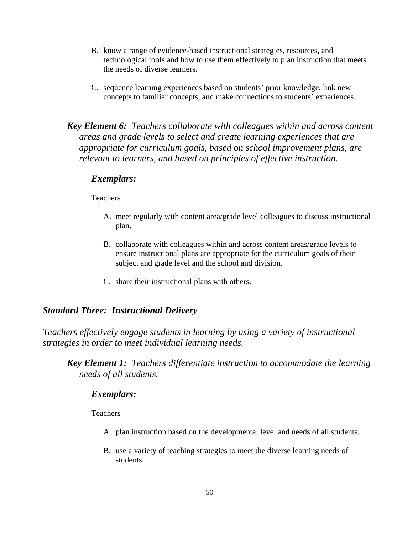- B. know a range of evidence-based instructional strategies, resources, and technological tools and how to use them effectively to plan instruction that meets the needs of diverse learners.
- C. sequence learning experiences based on students' prior knowledge, link new concepts to familiar concepts, and make connections to students' experiences.

*Key Element 6: Teachers collaborate with colleagues within and across content areas and grade levels to select and create learning experiences that are appropriate for curriculum goals, based on school improvement plans, are relevant to learners, and based on principles of effective instruction.* 

#### *Exemplars:*

Teachers

- A. meet regularly with content area/grade level colleagues to discuss instructional plan.
- B. collaborate with colleagues within and across content areas/grade levels to ensure instructional plans are appropriate for the curriculum goals of their subject and grade level and the school and division.
- C. share their instructional plans with others.

#### *Standard Three: Instructional Delivery*

*Teachers effectively engage students in learning by using a variety of instructional strategies in order to meet individual learning needs.* 

*Key Element 1: Teachers differentiate instruction to accommodate the learning needs of all students.* 

#### *Exemplars:*

- A. plan instruction based on the developmental level and needs of all students.
- B. use a variety of teaching strategies to meet the diverse learning needs of students.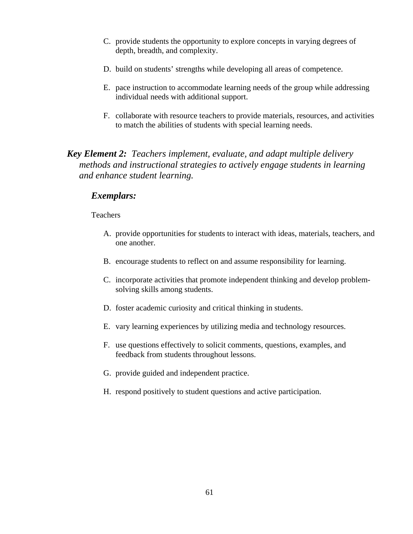- C. provide students the opportunity to explore concepts in varying degrees of depth, breadth, and complexity.
- D. build on students' strengths while developing all areas of competence.
- E. pace instruction to accommodate learning needs of the group while addressing individual needs with additional support.
- F. collaborate with resource teachers to provide materials, resources, and activities to match the abilities of students with special learning needs.

# *Key Element 2: Teachers implement, evaluate, and adapt multiple delivery methods and instructional strategies to actively engage students in learning and enhance student learning.*

### *Exemplars:*

- A. provide opportunities for students to interact with ideas, materials, teachers, and one another.
- B. encourage students to reflect on and assume responsibility for learning.
- C. incorporate activities that promote independent thinking and develop problemsolving skills among students.
- D. foster academic curiosity and critical thinking in students.
- E. vary learning experiences by utilizing media and technology resources.
- F. use questions effectively to solicit comments, questions, examples, and feedback from students throughout lessons.
- G. provide guided and independent practice.
- H. respond positively to student questions and active participation.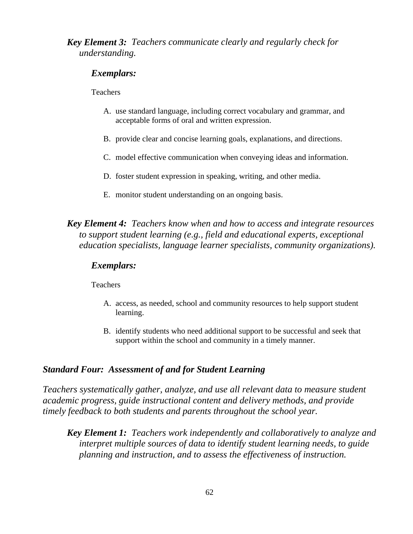# *Key Element 3: Teachers communicate clearly and regularly check for understanding.*

## *Exemplars:*

Teachers

- A. use standard language, including correct vocabulary and grammar, and acceptable forms of oral and written expression.
- B. provide clear and concise learning goals, explanations, and directions.
- C. model effective communication when conveying ideas and information.
- D. foster student expression in speaking, writing, and other media.
- E. monitor student understanding on an ongoing basis.

*Key Element 4: Teachers know when and how to access and integrate resources to support student learning (e.g., field and educational experts, exceptional education specialists, language learner specialists, community organizations).* 

#### *Exemplars:*

Teachers

- A. access, as needed, school and community resources to help support student learning.
- B. identify students who need additional support to be successful and seek that support within the school and community in a timely manner.

#### *Standard Four: Assessment of and for Student Learning*

*Teachers systematically gather, analyze, and use all relevant data to measure student academic progress, guide instructional content and delivery methods, and provide timely feedback to both students and parents throughout the school year.* 

*Key Element 1: Teachers work independently and collaboratively to analyze and interpret multiple sources of data to identify student learning needs, to guide planning and instruction, and to assess the effectiveness of instruction.*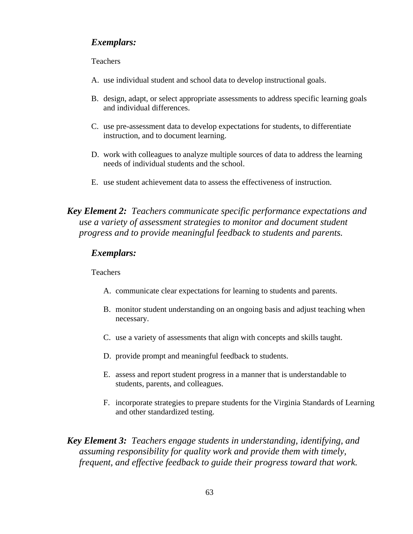# *Exemplars:*

Teachers

- A. use individual student and school data to develop instructional goals.
- B. design, adapt, or select appropriate assessments to address specific learning goals and individual differences.
- C. use pre-assessment data to develop expectations for students, to differentiate instruction, and to document learning.
- D. work with colleagues to analyze multiple sources of data to address the learning needs of individual students and the school.
- E. use student achievement data to assess the effectiveness of instruction.

*Key Element 2: Teachers communicate specific performance expectations and use a variety of assessment strategies to monitor and document student progress and to provide meaningful feedback to students and parents.* 

### *Exemplars:*

Teachers

- A. communicate clear expectations for learning to students and parents.
- B. monitor student understanding on an ongoing basis and adjust teaching when necessary.
- C. use a variety of assessments that align with concepts and skills taught.
- D. provide prompt and meaningful feedback to students.
- E. assess and report student progress in a manner that is understandable to students, parents, and colleagues.
- F. incorporate strategies to prepare students for the Virginia Standards of Learning and other standardized testing.

*Key Element 3: Teachers engage students in understanding, identifying, and assuming responsibility for quality work and provide them with timely, frequent, and effective feedback to guide their progress toward that work.*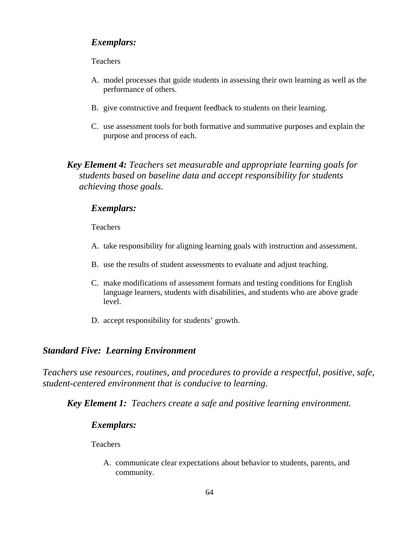# *Exemplars:*

Teachers

- A. model processes that guide students in assessing their own learning as well as the performance of others.
- B. give constructive and frequent feedback to students on their learning.
- C. use assessment tools for both formative and summative purposes and explain the purpose and process of each.

*Key Element 4: Teachers set measurable and appropriate learning goals for students based on baseline data and accept responsibility for students achieving those goals.* 

# *Exemplars:*

Teachers

- A. take responsibility for aligning learning goals with instruction and assessment.
- B. use the results of student assessments to evaluate and adjust teaching.
- C. make modifications of assessment formats and testing conditions for English language learners, students with disabilities, and students who are above grade level.
- D. accept responsibility for students' growth.

## *Standard Five: Learning Environment*

*Teachers use resources, routines, and procedures to provide a respectful, positive, safe, student-centered environment that is conducive to learning.* 

*Key Element 1: Teachers create a safe and positive learning environment.* 

## *Exemplars:*

Teachers

A. communicate clear expectations about behavior to students, parents, and community.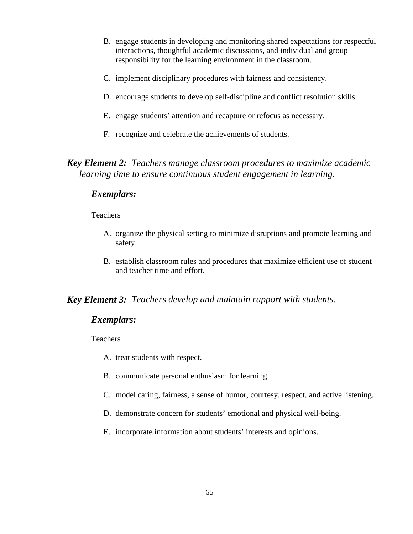- B. engage students in developing and monitoring shared expectations for respectful interactions, thoughtful academic discussions, and individual and group responsibility for the learning environment in the classroom.
- C. implement disciplinary procedures with fairness and consistency.
- D. encourage students to develop self-discipline and conflict resolution skills.
- E. engage students' attention and recapture or refocus as necessary.
- F. recognize and celebrate the achievements of students.

## *Key Element 2: Teachers manage classroom procedures to maximize academic learning time to ensure continuous student engagement in learning.*

#### *Exemplars:*

Teachers

- A. organize the physical setting to minimize disruptions and promote learning and safety.
- B. establish classroom rules and procedures that maximize efficient use of student and teacher time and effort.

#### *Key Element 3: Teachers develop and maintain rapport with students.*

# *Exemplars:*

- A. treat students with respect.
- B. communicate personal enthusiasm for learning.
- C. model caring, fairness, a sense of humor, courtesy, respect, and active listening.
- D. demonstrate concern for students' emotional and physical well-being.
- E. incorporate information about students' interests and opinions.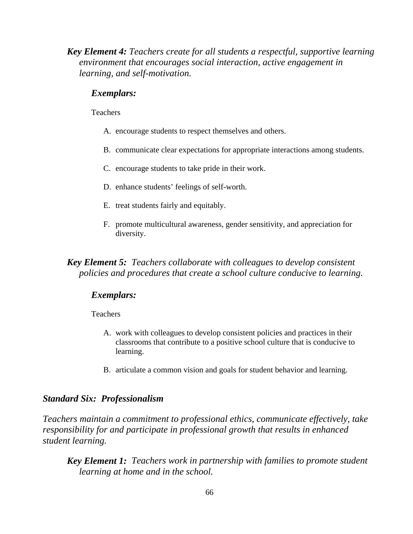*Key Element 4: Teachers create for all students a respectful, supportive learning environment that encourages social interaction, active engagement in learning, and self-motivation.* 

#### *Exemplars:*

Teachers

- A. encourage students to respect themselves and others.
- B. communicate clear expectations for appropriate interactions among students.
- C. encourage students to take pride in their work.
- D. enhance students' feelings of self-worth.
- E. treat students fairly and equitably.
- F. promote multicultural awareness, gender sensitivity, and appreciation for diversity.

# *Key Element 5: Teachers collaborate with colleagues to develop consistent policies and procedures that create a school culture conducive to learning.*

### *Exemplars:*

#### **Teachers**

- A. work with colleagues to develop consistent policies and practices in their classrooms that contribute to a positive school culture that is conducive to learning.
- B. articulate a common vision and goals for student behavior and learning.

### *Standard Six: Professionalism*

*Teachers maintain a commitment to professional ethics, communicate effectively, take responsibility for and participate in professional growth that results in enhanced student learning.* 

*Key Element 1: Teachers work in partnership with families to promote student learning at home and in the school.*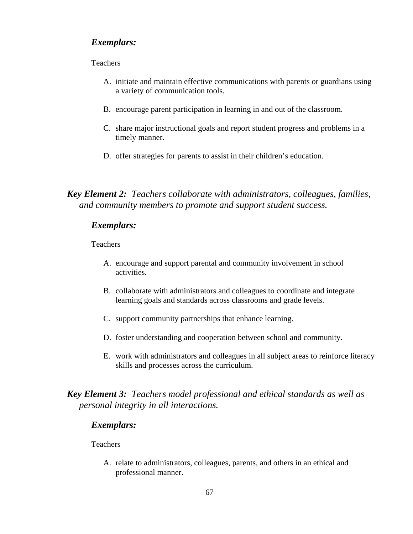# *Exemplars:*

Teachers

- A. initiate and maintain effective communications with parents or guardians using a variety of communication tools.
- B. encourage parent participation in learning in and out of the classroom.
- C. share major instructional goals and report student progress and problems in a timely manner.
- D. offer strategies for parents to assist in their children's education.

*Key Element 2: Teachers collaborate with administrators, colleagues, families, and community members to promote and support student success.* 

### *Exemplars:*

**Teachers** 

- A. encourage and support parental and community involvement in school activities.
- B. collaborate with administrators and colleagues to coordinate and integrate learning goals and standards across classrooms and grade levels.
- C. support community partnerships that enhance learning.
- D. foster understanding and cooperation between school and community.
- E. work with administrators and colleagues in all subject areas to reinforce literacy skills and processes across the curriculum.

# *Key Element 3: Teachers model professional and ethical standards as well as personal integrity in all interactions.*

### *Exemplars:*

Teachers

A. relate to administrators, colleagues, parents, and others in an ethical and professional manner.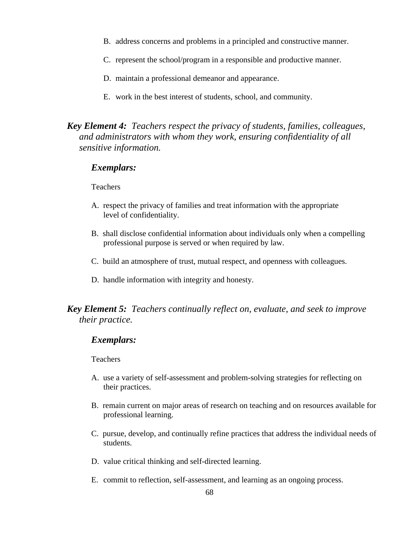- B. address concerns and problems in a principled and constructive manner.
- C. represent the school/program in a responsible and productive manner.
- D. maintain a professional demeanor and appearance.
- E. work in the best interest of students, school, and community.

# *Key Element 4: Teachers respect the privacy of students, families, colleagues, and administrators with whom they work, ensuring confidentiality of all sensitive information.*

#### *Exemplars:*

Teachers

- A. respect the privacy of families and treat information with the appropriate level of confidentiality.
- B. shall disclose confidential information about individuals only when a compelling professional purpose is served or when required by law.
- C. build an atmosphere of trust, mutual respect, and openness with colleagues.
- D. handle information with integrity and honesty.

### *Key Element 5: Teachers continually reflect on, evaluate, and seek to improve their practice.*

### *Exemplars:*

**Teachers** 

- A. use a variety of self-assessment and problem-solving strategies for reflecting on their practices.
- B. remain current on major areas of research on teaching and on resources available for professional learning.
- C. pursue, develop, and continually refine practices that address the individual needs of students.
- D. value critical thinking and self-directed learning.
- E. commit to reflection, self-assessment, and learning as an ongoing process.